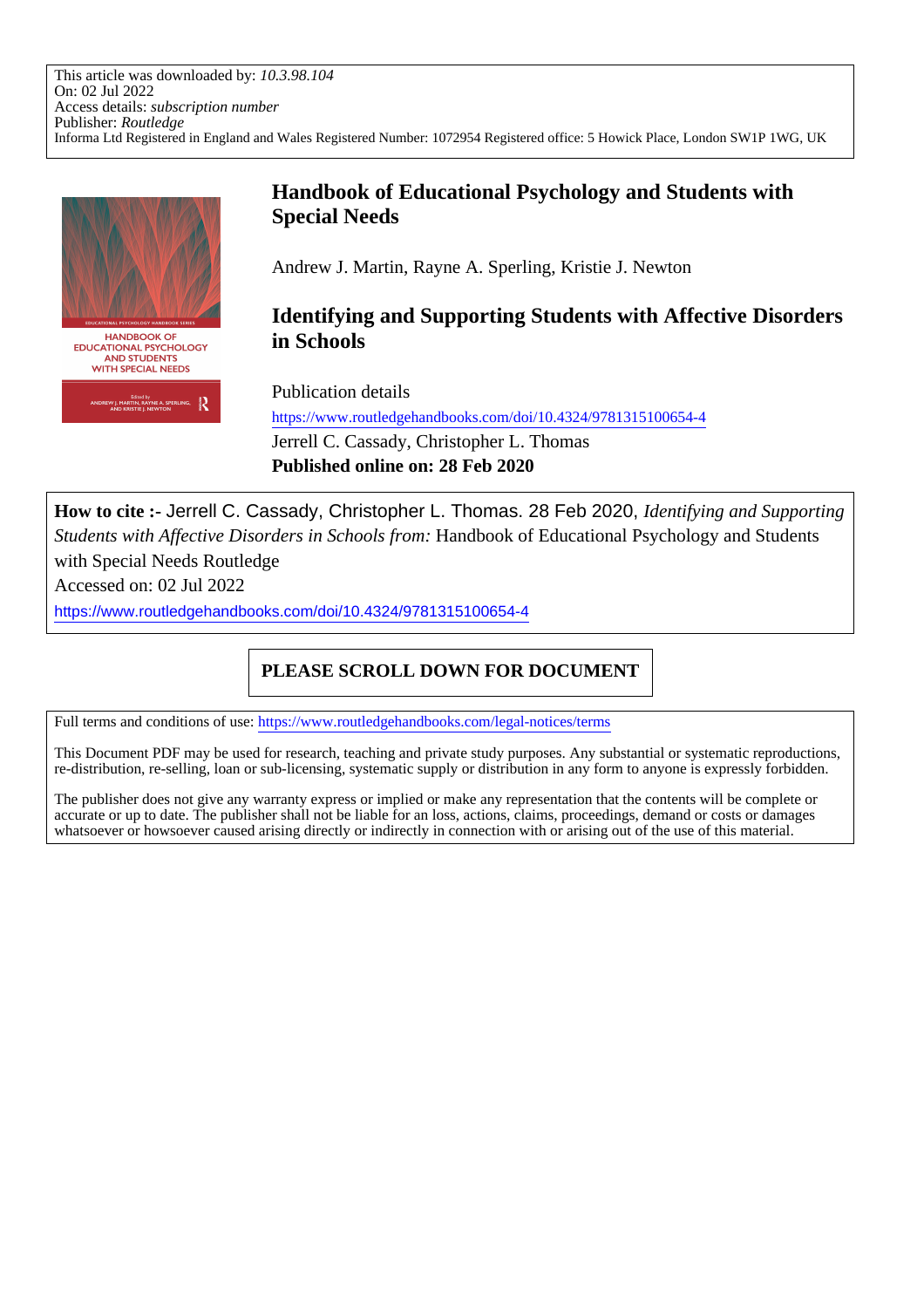This article was downloaded by: *10.3.98.104* On: 02 Jul 2022 Access details: *subscription number* Publisher: *Routledge* Informa Ltd Registered in England and Wales Registered Number: 1072954 Registered office: 5 Howick Place, London SW1P 1WG, UK



# **Handbook of Educational Psychology and Students with Special Needs**

Andrew J. Martin, Rayne A. Sperling, Kristie J. Newton

**Identifying and Supporting Students with Affective Disorders in Schools**

Publication details

https://www.routledgehandbooks.com/doi/10.4324/9781315100654-4 Jerrell C. Cassady, Christopher L. Thomas **Published online on: 28 Feb 2020**

**How to cite :-** Jerrell C. Cassady, Christopher L. Thomas. 28 Feb 2020, *Identifying and Supporting Students with Affective Disorders in Schools from:* Handbook of Educational Psychology and Students with Special Needs Routledge

Accessed on: 02 Jul 2022

https://www.routledgehandbooks.com/doi/10.4324/9781315100654-4

# **PLEASE SCROLL DOWN FOR DOCUMENT**

Full terms and conditions of use: https://www.routledgehandbooks.com/legal-notices/terms

This Document PDF may be used for research, teaching and private study purposes. Any substantial or systematic reproductions, re-distribution, re-selling, loan or sub-licensing, systematic supply or distribution in any form to anyone is expressly forbidden.

The publisher does not give any warranty express or implied or make any representation that the contents will be complete or accurate or up to date. The publisher shall not be liable for an loss, actions, claims, proceedings, demand or costs or damages whatsoever or howsoever caused arising directly or indirectly in connection with or arising out of the use of this material.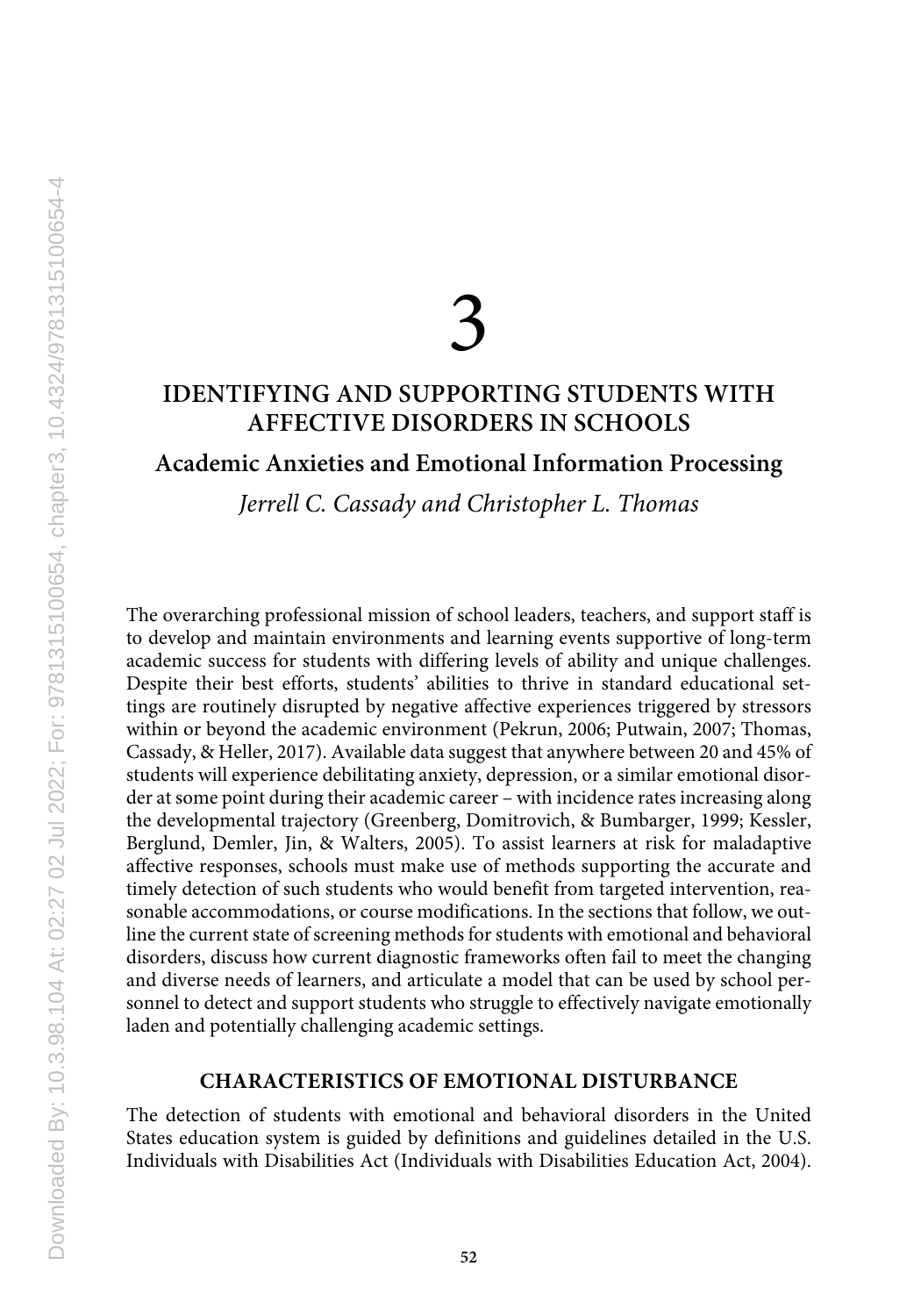# 3

# **IDENTIFYING AND SUPPORTING STUDENTS WITH AFFECTIVE DISORDERS IN SCHOOLS**

**Academic Anxieties and Emotional Information Processing**

*Jerrell C. Cassady and Christopher L. Thomas*

The overarching professional mission of school leaders, teachers, and support staff is to develop and maintain environments and learning events supportive of long-term academic success for students with differing levels of ability and unique challenges. Despite their best efforts, students' abilities to thrive in standard educational settings are routinely disrupted by negative affective experiences triggered by stressors within or beyond the academic environment (Pekrun, 2006; Putwain, 2007; Thomas, Cassady, & Heller, 2017). Available data suggest that anywhere between 20 and 45% of students will experience debilitating anxiety, depression, or a similar emotional disorder at some point during their academic career – with incidence rates increasing along the developmental trajectory (Greenberg, Domitrovich, & Bumbarger, 1999; Kessler, Berglund, Demler, Jin, & Walters, 2005). To assist learners at risk for maladaptive affective responses, schools must make use of methods supporting the accurate and timely detection of such students who would benefit from targeted intervention, reasonable accommodations, or course modifications. In the sections that follow, we outline the current state of screening methods for students with emotional and behavioral disorders, discuss how current diagnostic frameworks often fail to meet the changing and diverse needs of learners, and articulate a model that can be used by school personnel to detect and support students who struggle to effectively navigate emotionally laden and potentially challenging academic settings.

# **CHARACTERISTICS OF EMOTIONAL DISTURBANCE**

The detection of students with emotional and behavioral disorders in the United States education system is guided by definitions and guidelines detailed in the U.S. Individuals with Disabilities Act (Individuals with Disabilities Education Act, 2004).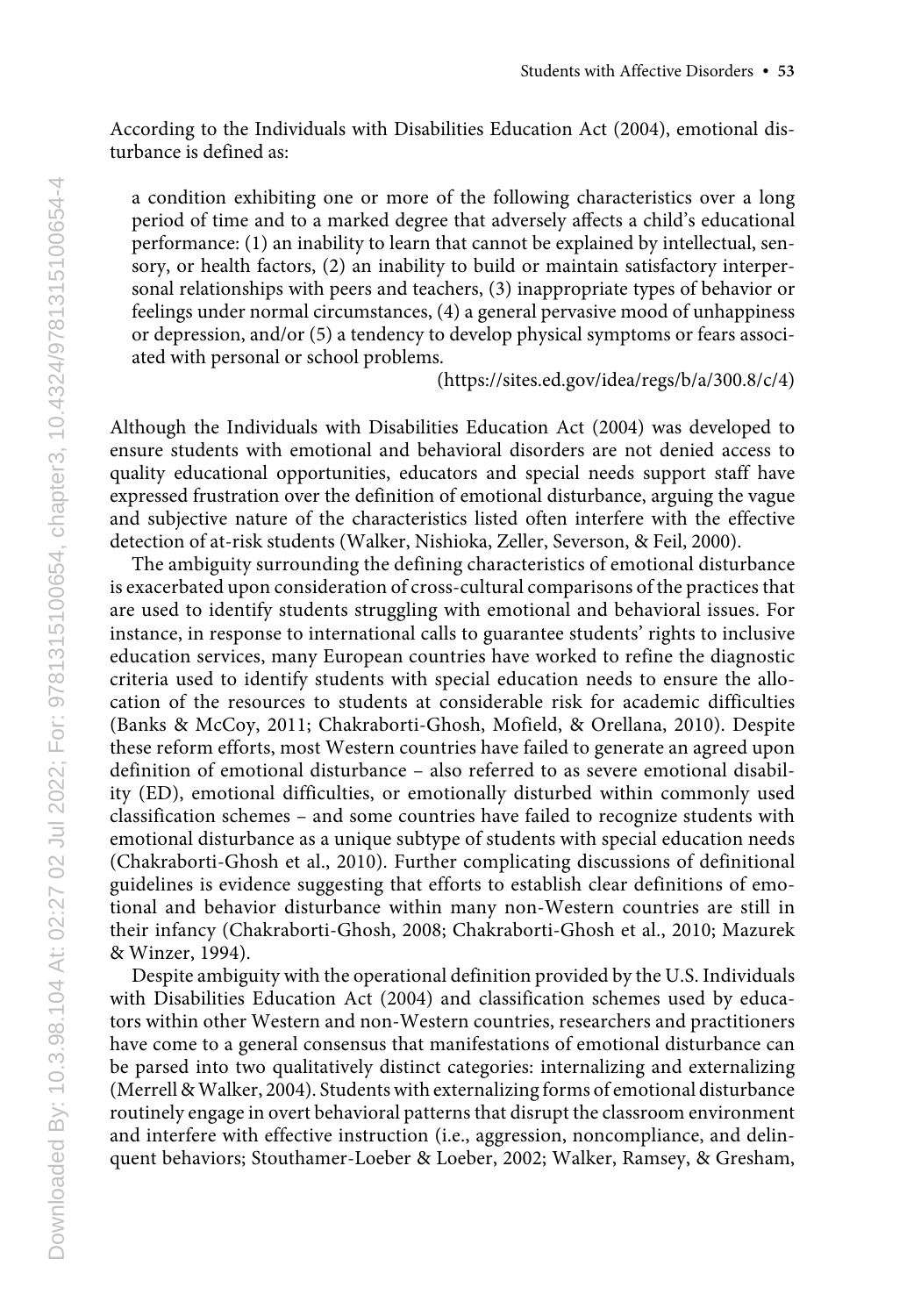According to the Individuals with Disabilities Education Act (2004), emotional disturbance is defined as:

a condition exhibiting one or more of the following characteristics over a long period of time and to a marked degree that adversely affects a child's educational performance: (1) an inability to learn that cannot be explained by intellectual, sensory, or health factors, (2) an inability to build or maintain satisfactory interpersonal relationships with peers and teachers, (3) inappropriate types of behavior or feelings under normal circumstances, (4) a general pervasive mood of unhappiness or depression, and/or (5) a tendency to develop physical symptoms or fears associated with personal or school problems.

(https://sites.ed.gov/idea/regs/b/a/300.8/c/4)

Although the Individuals with Disabilities Education Act (2004) was developed to ensure students with emotional and behavioral disorders are not denied access to quality educational opportunities, educators and special needs support staff have expressed frustration over the definition of emotional disturbance, arguing the vague and subjective nature of the characteristics listed often interfere with the effective detection of at-risk students (Walker, Nishioka, Zeller, Severson, & Feil, 2000).

The ambiguity surrounding the defining characteristics of emotional disturbance is exacerbated upon consideration of cross-cultural comparisons of the practices that are used to identify students struggling with emotional and behavioral issues. For instance, in response to international calls to guarantee students' rights to inclusive education services, many European countries have worked to refine the diagnostic criteria used to identify students with special education needs to ensure the allocation of the resources to students at considerable risk for academic difficulties (Banks & McCoy, 2011; Chakraborti-Ghosh, Mofield, & Orellana, 2010). Despite these reform efforts, most Western countries have failed to generate an agreed upon definition of emotional disturbance – also referred to as severe emotional disability (ED), emotional difficulties, or emotionally disturbed within commonly used classification schemes – and some countries have failed to recognize students with emotional disturbance as a unique subtype of students with special education needs (Chakraborti-Ghosh et al., 2010). Further complicating discussions of definitional guidelines is evidence suggesting that efforts to establish clear definitions of emotional and behavior disturbance within many non-Western countries are still in their infancy (Chakraborti-Ghosh, 2008; Chakraborti-Ghosh et al., 2010; Mazurek & Winzer, 1994).

Despite ambiguity with the operational definition provided by the U.S. Individuals with Disabilities Education Act (2004) and classification schemes used by educators within other Western and non-Western countries, researchers and practitioners have come to a general consensus that manifestations of emotional disturbance can be parsed into two qualitatively distinct categories: internalizing and externalizing (Merrell & Walker, 2004). Students with externalizing forms of emotional disturbance routinely engage in overt behavioral patterns that disrupt the classroom environment and interfere with effective instruction (i.e., aggression, noncompliance, and delinquent behaviors; Stouthamer-Loeber & Loeber, 2002; Walker, Ramsey, & Gresham,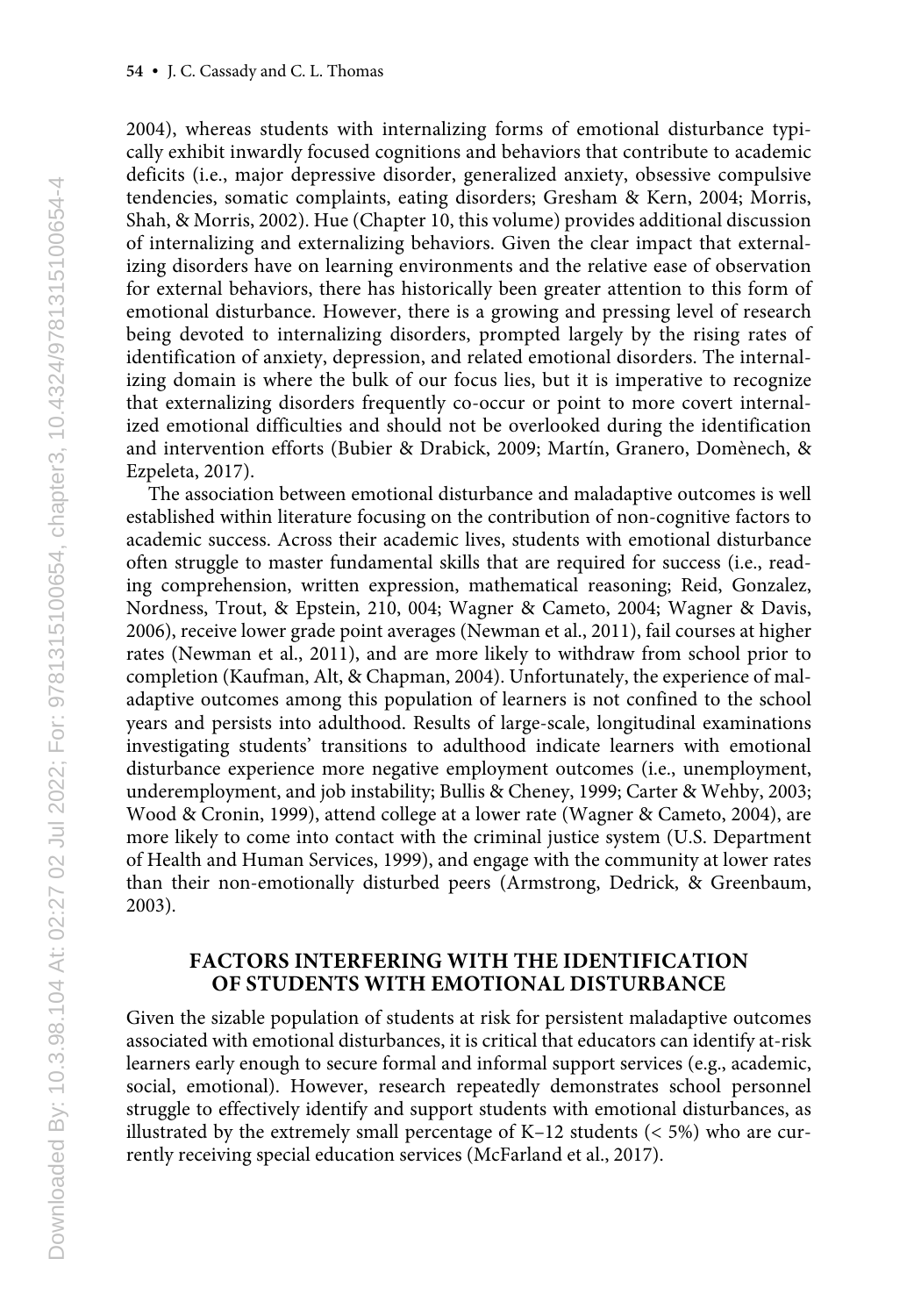2004), whereas students with internalizing forms of emotional disturbance typically exhibit inwardly focused cognitions and behaviors that contribute to academic deficits (i.e., major depressive disorder, generalized anxiety, obsessive compulsive tendencies, somatic complaints, eating disorders; Gresham & Kern, 2004; Morris, Shah, & Morris, 2002). Hue (Chapter 10, this volume) provides additional discussion of internalizing and externalizing behaviors. Given the clear impact that externalizing disorders have on learning environments and the relative ease of observation for external behaviors, there has historically been greater attention to this form of emotional disturbance. However, there is a growing and pressing level of research being devoted to internalizing disorders, prompted largely by the rising rates of identification of anxiety, depression, and related emotional disorders. The internalizing domain is where the bulk of our focus lies, but it is imperative to recognize that externalizing disorders frequently co-occur or point to more covert internalized emotional difficulties and should not be overlooked during the identification and intervention efforts (Bubier & Drabick, 2009; Martín, Granero, Domènech, & Ezpeleta, 2017).

The association between emotional disturbance and maladaptive outcomes is well established within literature focusing on the contribution of non-cognitive factors to academic success. Across their academic lives, students with emotional disturbance often struggle to master fundamental skills that are required for success (i.e., reading comprehension, written expression, mathematical reasoning; Reid, Gonzalez, Nordness, Trout, & Epstein, 210, 004; Wagner & Cameto, 2004; Wagner & Davis, 2006), receive lower grade point averages (Newman et al., 2011), fail courses at higher rates (Newman et al., 2011), and are more likely to withdraw from school prior to completion (Kaufman, Alt, & Chapman, 2004). Unfortunately, the experience of maladaptive outcomes among this population of learners is not confined to the school years and persists into adulthood. Results of large-scale, longitudinal examinations investigating students' transitions to adulthood indicate learners with emotional disturbance experience more negative employment outcomes (i.e., unemployment, underemployment, and job instability; Bullis & Cheney, 1999; Carter & Wehby, 2003; Wood & Cronin, 1999), attend college at a lower rate (Wagner & Cameto, 2004), are more likely to come into contact with the criminal justice system (U.S. Department of Health and Human Services, 1999), and engage with the community at lower rates than their non-emotionally disturbed peers (Armstrong, Dedrick, & Greenbaum, 2003).

# **FACTORS INTERFERING WITH THE IDENTIFICATION OF STUDENTS WITH EMOTIONAL DISTURBANCE**

Given the sizable population of students at risk for persistent maladaptive outcomes associated with emotional disturbances, it is critical that educators can identify at-risk learners early enough to secure formal and informal support services (e.g., academic, social, emotional). However, research repeatedly demonstrates school personnel struggle to effectively identify and support students with emotional disturbances, as illustrated by the extremely small percentage of  $K-12$  students ( $<$  5%) who are currently receiving special education services (McFarland et al., 2017).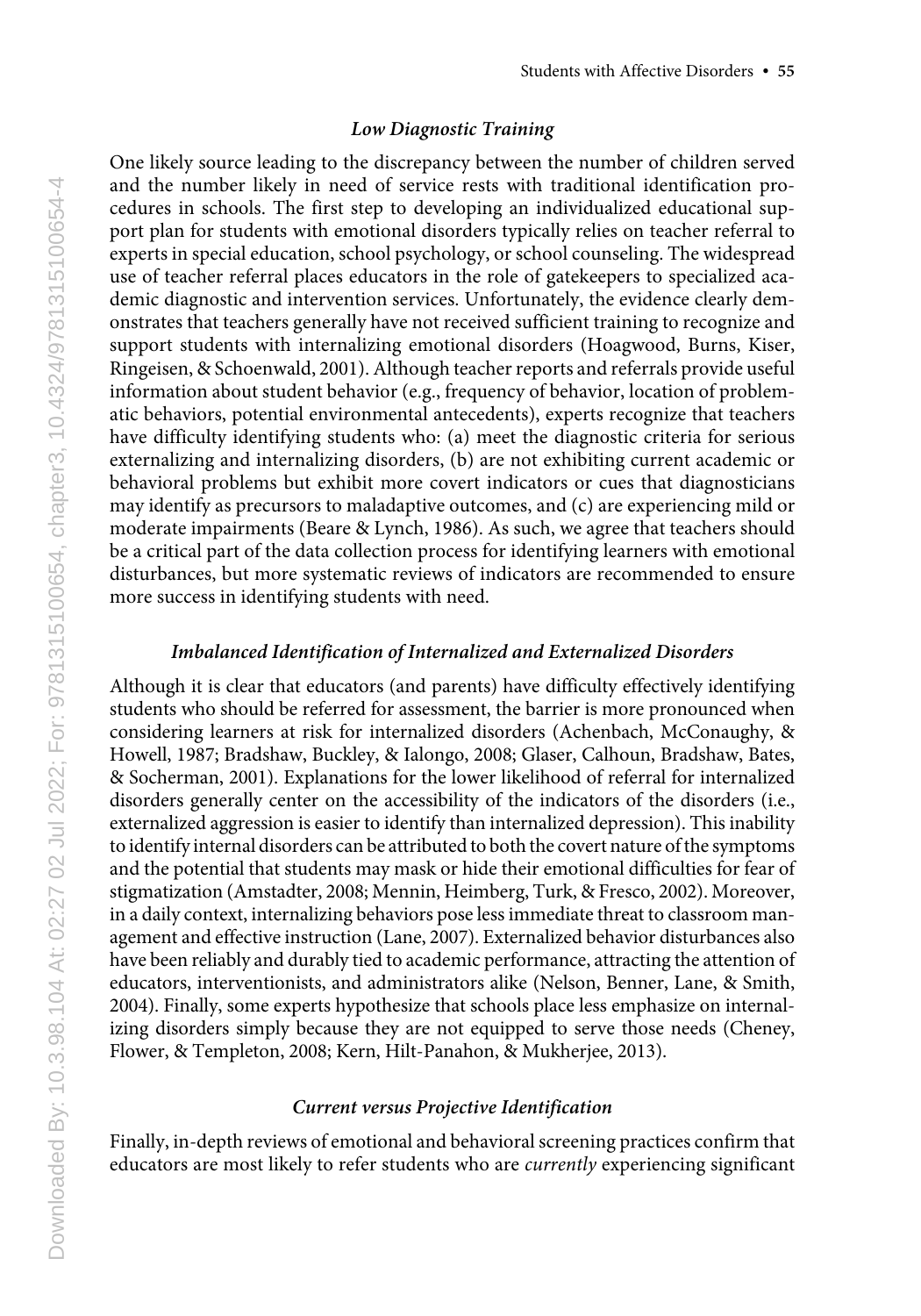#### *Low Diagnostic Training*

One likely source leading to the discrepancy between the number of children served and the number likely in need of service rests with traditional identification procedures in schools. The first step to developing an individualized educational support plan for students with emotional disorders typically relies on teacher referral to experts in special education, school psychology, or school counseling. The widespread use of teacher referral places educators in the role of gatekeepers to specialized academic diagnostic and intervention services. Unfortunately, the evidence clearly demonstrates that teachers generally have not received sufficient training to recognize and support students with internalizing emotional disorders (Hoagwood, Burns, Kiser, Ringeisen, & Schoenwald, 2001). Although teacher reports and referrals provide useful information about student behavior (e.g., frequency of behavior, location of problematic behaviors, potential environmental antecedents), experts recognize that teachers have difficulty identifying students who: (a) meet the diagnostic criteria for serious externalizing and internalizing disorders, (b) are not exhibiting current academic or behavioral problems but exhibit more covert indicators or cues that diagnosticians may identify as precursors to maladaptive outcomes, and (c) are experiencing mild or moderate impairments (Beare & Lynch, 1986). As such, we agree that teachers should be a critical part of the data collection process for identifying learners with emotional disturbances, but more systematic reviews of indicators are recommended to ensure more success in identifying students with need.

# *Imbalanced Identification of Internalized and Externalized Disorders*

Although it is clear that educators (and parents) have difficulty effectively identifying students who should be referred for assessment, the barrier is more pronounced when considering learners at risk for internalized disorders (Achenbach, McConaughy, & Howell, 1987; Bradshaw, Buckley, & Ialongo, 2008; Glaser, Calhoun, Bradshaw, Bates, & Socherman, 2001). Explanations for the lower likelihood of referral for internalized disorders generally center on the accessibility of the indicators of the disorders (i.e., externalized aggression is easier to identify than internalized depression). This inability to identify internal disorders can be attributed to both the covert nature of the symptoms and the potential that students may mask or hide their emotional difficulties for fear of stigmatization (Amstadter, 2008; Mennin, Heimberg, Turk, & Fresco, 2002). Moreover, in a daily context, internalizing behaviors pose less immediate threat to classroom management and effective instruction (Lane, 2007). Externalized behavior disturbances also have been reliably and durably tied to academic performance, attracting the attention of educators, interventionists, and administrators alike (Nelson, Benner, Lane, & Smith, 2004). Finally, some experts hypothesize that schools place less emphasize on internalizing disorders simply because they are not equipped to serve those needs (Cheney, Flower, & Templeton, 2008; Kern, Hilt-Panahon, & Mukherjee, 2013).

## *Current versus Projective Identification*

Finally, in-depth reviews of emotional and behavioral screening practices confirm that educators are most likely to refer students who are *currently* experiencing significant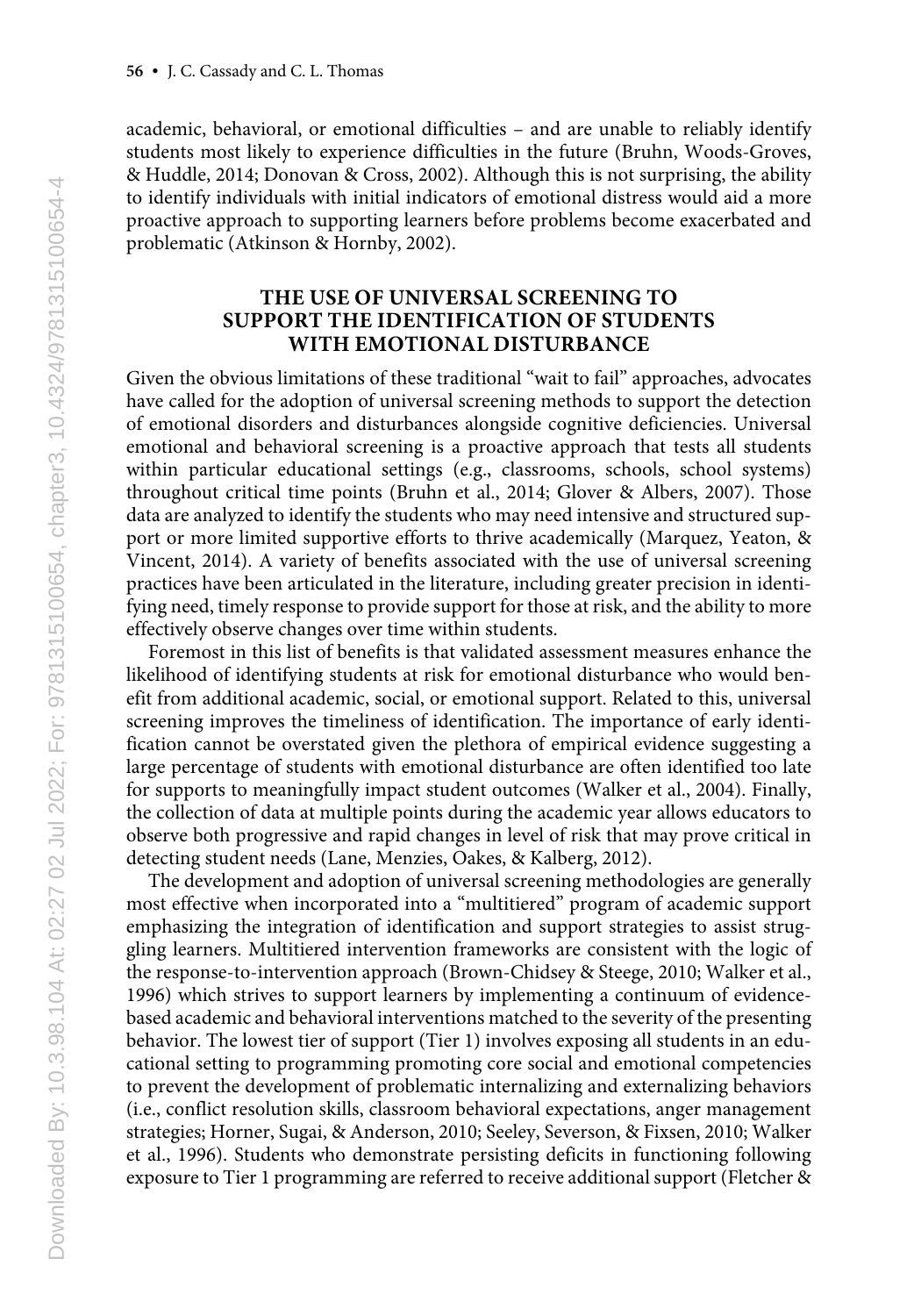academic, behavioral, or emotional difficulties – and are unable to reliably identify students most likely to experience difficulties in the future (Bruhn, Woods-Groves, & Huddle, 2014; Donovan & Cross, 2002). Although this is not surprising, the ability to identify individuals with initial indicators of emotional distress would aid a more proactive approach to supporting learners before problems become exacerbated and problematic (Atkinson & Hornby, 2002).

# **THE USE OF UNIVERSAL SCREENING TO SUPPORT THE IDENTIFICATION OF STUDENTS WITH EMOTIONAL DISTURBANCE**

Given the obvious limitations of these traditional "wait to fail" approaches, advocates have called for the adoption of universal screening methods to support the detection of emotional disorders and disturbances alongside cognitive deficiencies. Universal emotional and behavioral screening is a proactive approach that tests all students within particular educational settings (e.g., classrooms, schools, school systems) throughout critical time points (Bruhn et al., 2014; Glover & Albers, 2007). Those data are analyzed to identify the students who may need intensive and structured support or more limited supportive efforts to thrive academically (Marquez, Yeaton, & Vincent, 2014). A variety of benefits associated with the use of universal screening practices have been articulated in the literature, including greater precision in identifying need, timely response to provide support for those at risk, and the ability to more effectively observe changes over time within students.

Foremost in this list of benefits is that validated assessment measures enhance the likelihood of identifying students at risk for emotional disturbance who would benefit from additional academic, social, or emotional support. Related to this, universal screening improves the timeliness of identification. The importance of early identification cannot be overstated given the plethora of empirical evidence suggesting a large percentage of students with emotional disturbance are often identified too late for supports to meaningfully impact student outcomes (Walker et al., 2004). Finally, the collection of data at multiple points during the academic year allows educators to observe both progressive and rapid changes in level of risk that may prove critical in detecting student needs (Lane, Menzies, Oakes, & Kalberg, 2012).

The development and adoption of universal screening methodologies are generally most effective when incorporated into a "multitiered" program of academic support emphasizing the integration of identification and support strategies to assist struggling learners. Multitiered intervention frameworks are consistent with the logic of the response-to-intervention approach (Brown-Chidsey & Steege, 2010; Walker et al., 1996) which strives to support learners by implementing a continuum of evidencebased academic and behavioral interventions matched to the severity of the presenting behavior. The lowest tier of support (Tier 1) involves exposing all students in an educational setting to programming promoting core social and emotional competencies to prevent the development of problematic internalizing and externalizing behaviors (i.e., conflict resolution skills, classroom behavioral expectations, anger management strategies; Horner, Sugai, & Anderson, 2010; Seeley, Severson, & Fixsen, 2010; Walker et al., 1996). Students who demonstrate persisting deficits in functioning following exposure to Tier 1 programming are referred to receive additional support (Fletcher &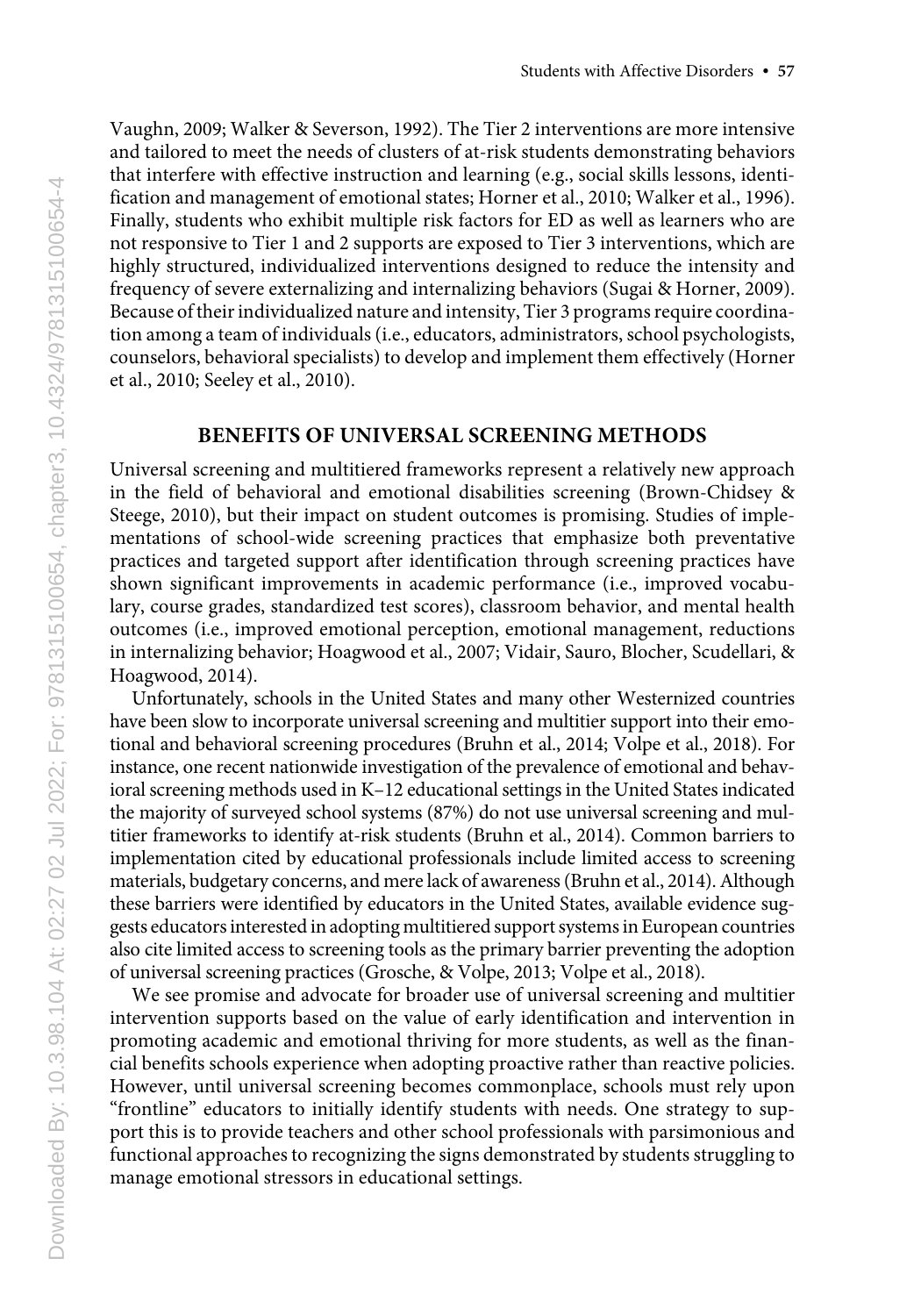Vaughn, 2009; Walker & Severson, 1992). The Tier 2 interventions are more intensive and tailored to meet the needs of clusters of at-risk students demonstrating behaviors that interfere with effective instruction and learning (e.g., social skills lessons, identification and management of emotional states; Horner et al., 2010; Walker et al., 1996). Finally, students who exhibit multiple risk factors for ED as well as learners who are not responsive to Tier 1 and 2 supports are exposed to Tier 3 interventions, which are highly structured, individualized interventions designed to reduce the intensity and frequency of severe externalizing and internalizing behaviors (Sugai & Horner, 2009). Because of their individualized nature and intensity, Tier 3 programs require coordination among a team of individuals (i.e., educators, administrators, school psychologists, counselors, behavioral specialists) to develop and implement them effectively (Horner et al., 2010; Seeley et al., 2010).

#### **BENEFITS OF UNIVERSAL SCREENING METHODS**

Universal screening and multitiered frameworks represent a relatively new approach in the field of behavioral and emotional disabilities screening (Brown-Chidsey & Steege, 2010), but their impact on student outcomes is promising. Studies of implementations of school-wide screening practices that emphasize both preventative practices and targeted support after identification through screening practices have shown significant improvements in academic performance (i.e., improved vocabulary, course grades, standardized test scores), classroom behavior, and mental health outcomes (i.e., improved emotional perception, emotional management, reductions in internalizing behavior; Hoagwood et al., 2007; Vidair, Sauro, Blocher, Scudellari, & Hoagwood, 2014).

Unfortunately, schools in the United States and many other Westernized countries have been slow to incorporate universal screening and multitier support into their emotional and behavioral screening procedures (Bruhn et al., 2014; Volpe et al., 2018). For instance, one recent nationwide investigation of the prevalence of emotional and behavioral screening methods used in K–12 educational settings in the United States indicated the majority of surveyed school systems (87%) do not use universal screening and multitier frameworks to identify at-risk students (Bruhn et al., 2014). Common barriers to implementation cited by educational professionals include limited access to screening materials, budgetary concerns, and mere lack of awareness (Bruhn et al., 2014). Although these barriers were identified by educators in the United States, available evidence suggests educators interested in adopting multitiered support systems in European countries also cite limited access to screening tools as the primary barrier preventing the adoption of universal screening practices (Grosche, & Volpe, 2013; Volpe et al., 2018).

We see promise and advocate for broader use of universal screening and multitier intervention supports based on the value of early identification and intervention in promoting academic and emotional thriving for more students, as well as the financial benefits schools experience when adopting proactive rather than reactive policies. However, until universal screening becomes commonplace, schools must rely upon "frontline" educators to initially identify students with needs. One strategy to support this is to provide teachers and other school professionals with parsimonious and functional approaches to recognizing the signs demonstrated by students struggling to manage emotional stressors in educational settings.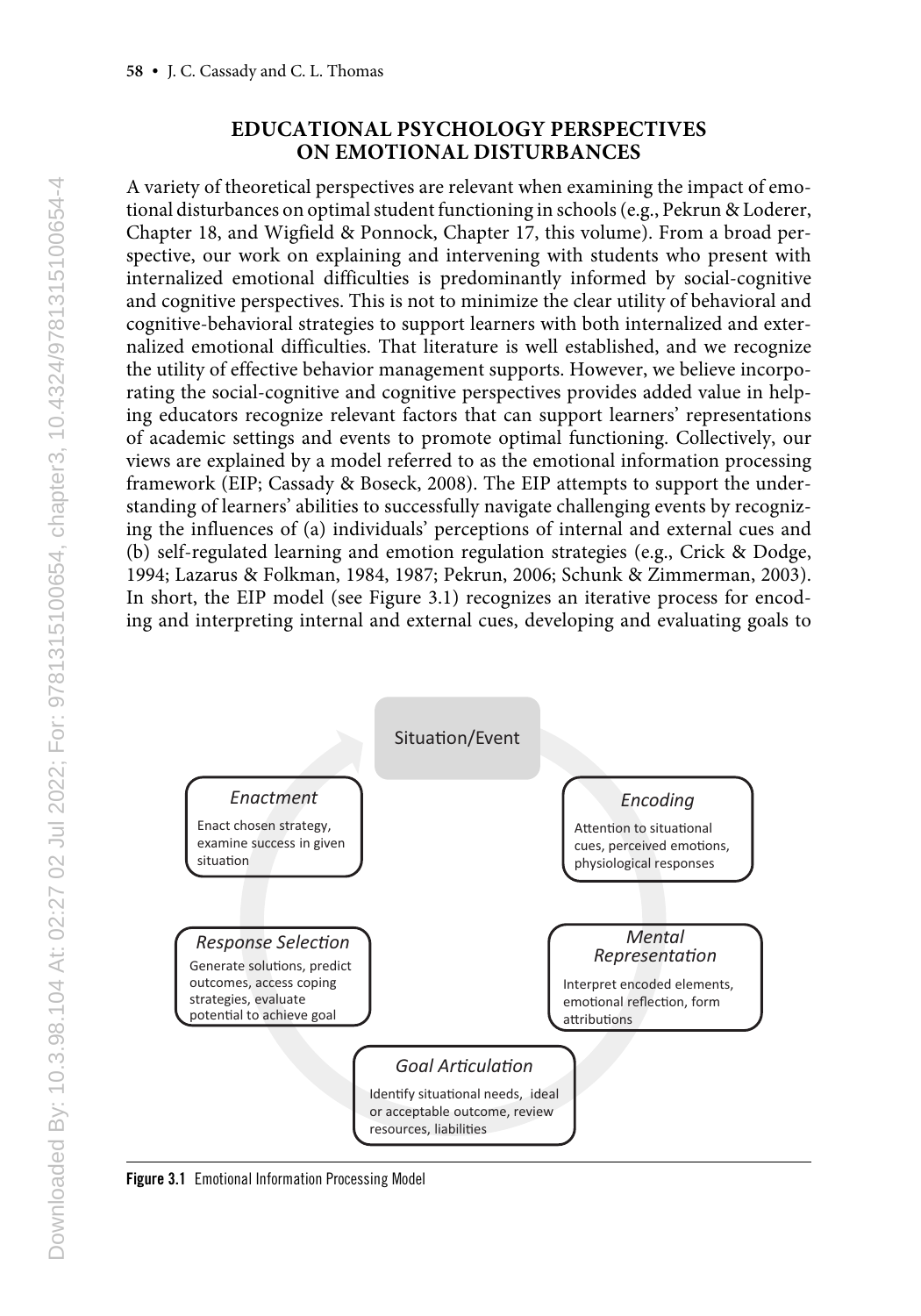# **EDUCATIONAL PSYCHOLOGY PERSPECTIVES ON EMOTIONAL DISTURBANCES**

A variety of theoretical perspectives are relevant when examining the impact of emotional disturbances on optimal student functioning in schools (e.g., Pekrun & Loderer, Chapter 18, and Wigfield & Ponnock, Chapter 17, this volume). From a broad perspective, our work on explaining and intervening with students who present with internalized emotional difficulties is predominantly informed by social-cognitive and cognitive perspectives. This is not to minimize the clear utility of behavioral and cognitive-behavioral strategies to support learners with both internalized and externalized emotional difficulties. That literature is well established, and we recognize the utility of effective behavior management supports. However, we believe incorporating the social-cognitive and cognitive perspectives provides added value in helping educators recognize relevant factors that can support learners' representations of academic settings and events to promote optimal functioning. Collectively, our views are explained by a model referred to as the emotional information processing framework (EIP; Cassady & Boseck, 2008). The EIP attempts to support the understanding of learners' abilities to successfully navigate challenging events by recognizing the influences of (a) individuals' perceptions of internal and external cues and (b) self-regulated learning and emotion regulation strategies (e.g., Crick & Dodge, 1994; Lazarus & Folkman, 1984, 1987; Pekrun, 2006; Schunk & Zimmerman, 2003). In short, the EIP model (see Figure 3.1) recognizes an iterative process for encoding and interpreting internal and external cues, developing and evaluating goals to



Figure 3.1 Emotional Information Processing Model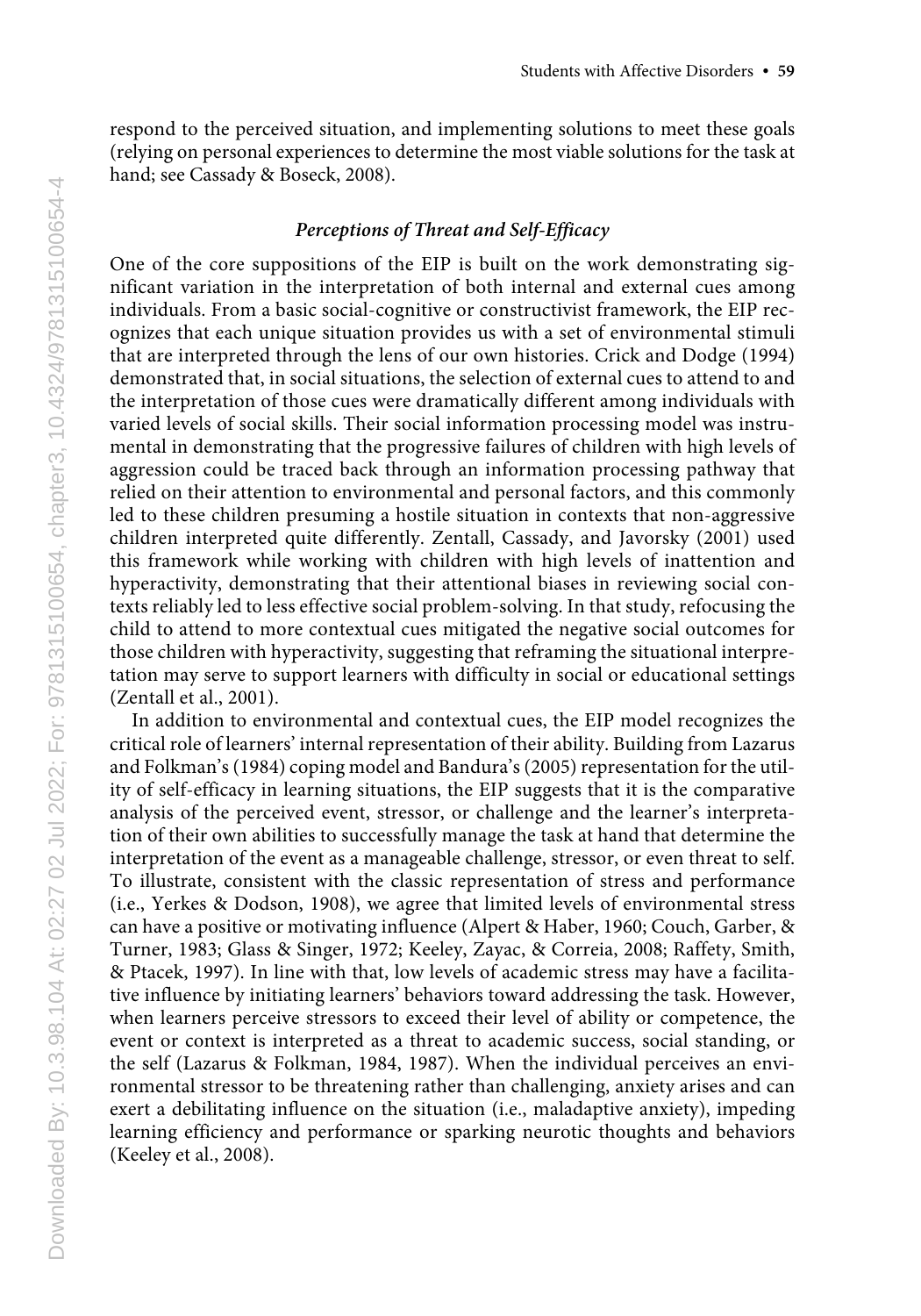respond to the perceived situation, and implementing solutions to meet these goals (relying on personal experiences to determine the most viable solutions for the task at hand; see Cassady & Boseck, 2008).

## *Perceptions of Threat and Self-Efficacy*

One of the core suppositions of the EIP is built on the work demonstrating significant variation in the interpretation of both internal and external cues among individuals. From a basic social-cognitive or constructivist framework, the EIP recognizes that each unique situation provides us with a set of environmental stimuli that are interpreted through the lens of our own histories. Crick and Dodge (1994) demonstrated that, in social situations, the selection of external cues to attend to and the interpretation of those cues were dramatically different among individuals with varied levels of social skills. Their social information processing model was instrumental in demonstrating that the progressive failures of children with high levels of aggression could be traced back through an information processing pathway that relied on their attention to environmental and personal factors, and this commonly led to these children presuming a hostile situation in contexts that non-aggressive children interpreted quite differently. Zentall, Cassady, and Javorsky (2001) used this framework while working with children with high levels of inattention and hyperactivity, demonstrating that their attentional biases in reviewing social contexts reliably led to less effective social problem-solving. In that study, refocusing the child to attend to more contextual cues mitigated the negative social outcomes for those children with hyperactivity, suggesting that reframing the situational interpretation may serve to support learners with difficulty in social or educational settings (Zentall et al., 2001).

In addition to environmental and contextual cues, the EIP model recognizes the critical role of learners' internal representation of their ability. Building from Lazarus and Folkman's (1984) coping model and Bandura's (2005) representation for the utility of self-efficacy in learning situations, the EIP suggests that it is the comparative analysis of the perceived event, stressor, or challenge and the learner's interpretation of their own abilities to successfully manage the task at hand that determine the interpretation of the event as a manageable challenge, stressor, or even threat to self. To illustrate, consistent with the classic representation of stress and performance (i.e., Yerkes & Dodson, 1908), we agree that limited levels of environmental stress can have a positive or motivating influence (Alpert & Haber, 1960; Couch, Garber, & Turner, 1983; Glass & Singer, 1972; Keeley, Zayac, & Correia, 2008; Raffety, Smith, & Ptacek, 1997). In line with that, low levels of academic stress may have a facilitative influence by initiating learners' behaviors toward addressing the task. However, when learners perceive stressors to exceed their level of ability or competence, the event or context is interpreted as a threat to academic success, social standing, or the self (Lazarus & Folkman, 1984, 1987). When the individual perceives an environmental stressor to be threatening rather than challenging, anxiety arises and can exert a debilitating influence on the situation (i.e., maladaptive anxiety), impeding learning efficiency and performance or sparking neurotic thoughts and behaviors (Keeley et al., 2008).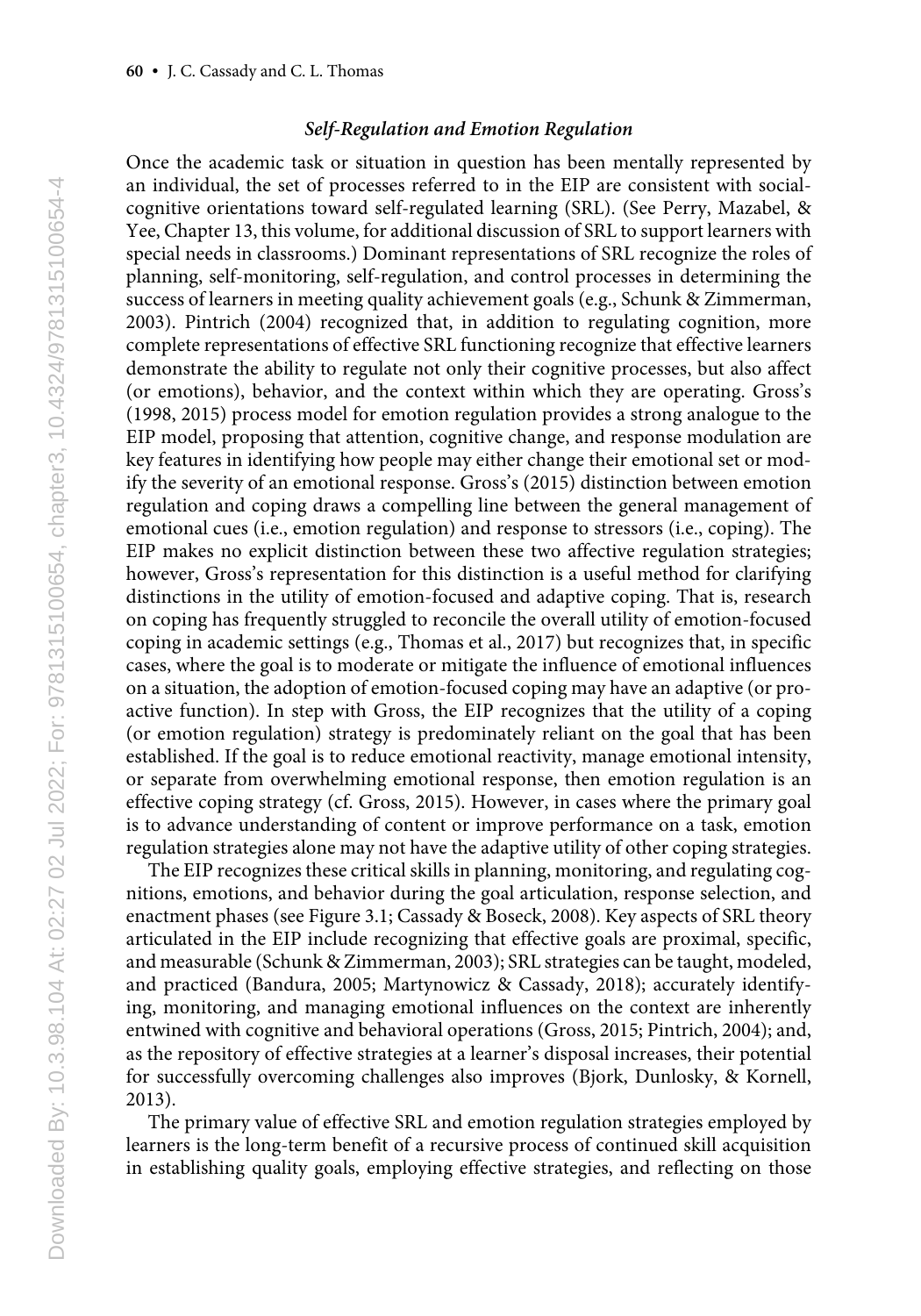#### *Self-Regulation and Emotion Regulation*

Once the academic task or situation in question has been mentally represented by an individual, the set of processes referred to in the EIP are consistent with socialcognitive orientations toward self-regulated learning (SRL). (See Perry, Mazabel, & Yee, Chapter 13, this volume, for additional discussion of SRL to support learners with special needs in classrooms.) Dominant representations of SRL recognize the roles of planning, self-monitoring, self-regulation, and control processes in determining the success of learners in meeting quality achievement goals (e.g., Schunk & Zimmerman, 2003). Pintrich (2004) recognized that, in addition to regulating cognition, more complete representations of effective SRL functioning recognize that effective learners demonstrate the ability to regulate not only their cognitive processes, but also affect (or emotions), behavior, and the context within which they are operating. Gross's (1998, 2015) process model for emotion regulation provides a strong analogue to the EIP model, proposing that attention, cognitive change, and response modulation are key features in identifying how people may either change their emotional set or modify the severity of an emotional response. Gross's (2015) distinction between emotion regulation and coping draws a compelling line between the general management of emotional cues (i.e., emotion regulation) and response to stressors (i.e., coping). The EIP makes no explicit distinction between these two affective regulation strategies; however, Gross's representation for this distinction is a useful method for clarifying distinctions in the utility of emotion-focused and adaptive coping. That is, research on coping has frequently struggled to reconcile the overall utility of emotion-focused coping in academic settings (e.g., Thomas et al., 2017) but recognizes that, in specific cases, where the goal is to moderate or mitigate the influence of emotional influences on a situation, the adoption of emotion-focused coping may have an adaptive (or proactive function). In step with Gross, the EIP recognizes that the utility of a coping (or emotion regulation) strategy is predominately reliant on the goal that has been established. If the goal is to reduce emotional reactivity, manage emotional intensity, or separate from overwhelming emotional response, then emotion regulation is an effective coping strategy (cf. Gross, 2015). However, in cases where the primary goal is to advance understanding of content or improve performance on a task, emotion regulation strategies alone may not have the adaptive utility of other coping strategies.

The EIP recognizes these critical skills in planning, monitoring, and regulating cognitions, emotions, and behavior during the goal articulation, response selection, and enactment phases (see Figure 3.1; Cassady & Boseck, 2008). Key aspects of SRL theory articulated in the EIP include recognizing that effective goals are proximal, specific, and measurable (Schunk & Zimmerman, 2003); SRL strategies can be taught, modeled, and practiced (Bandura, 2005; Martynowicz & Cassady, 2018); accurately identifying, monitoring, and managing emotional influences on the context are inherently entwined with cognitive and behavioral operations (Gross, 2015; Pintrich, 2004); and, as the repository of effective strategies at a learner's disposal increases, their potential for successfully overcoming challenges also improves (Bjork, Dunlosky, & Kornell, 2013).

The primary value of effective SRL and emotion regulation strategies employed by learners is the long-term benefit of a recursive process of continued skill acquisition in establishing quality goals, employing effective strategies, and reflecting on those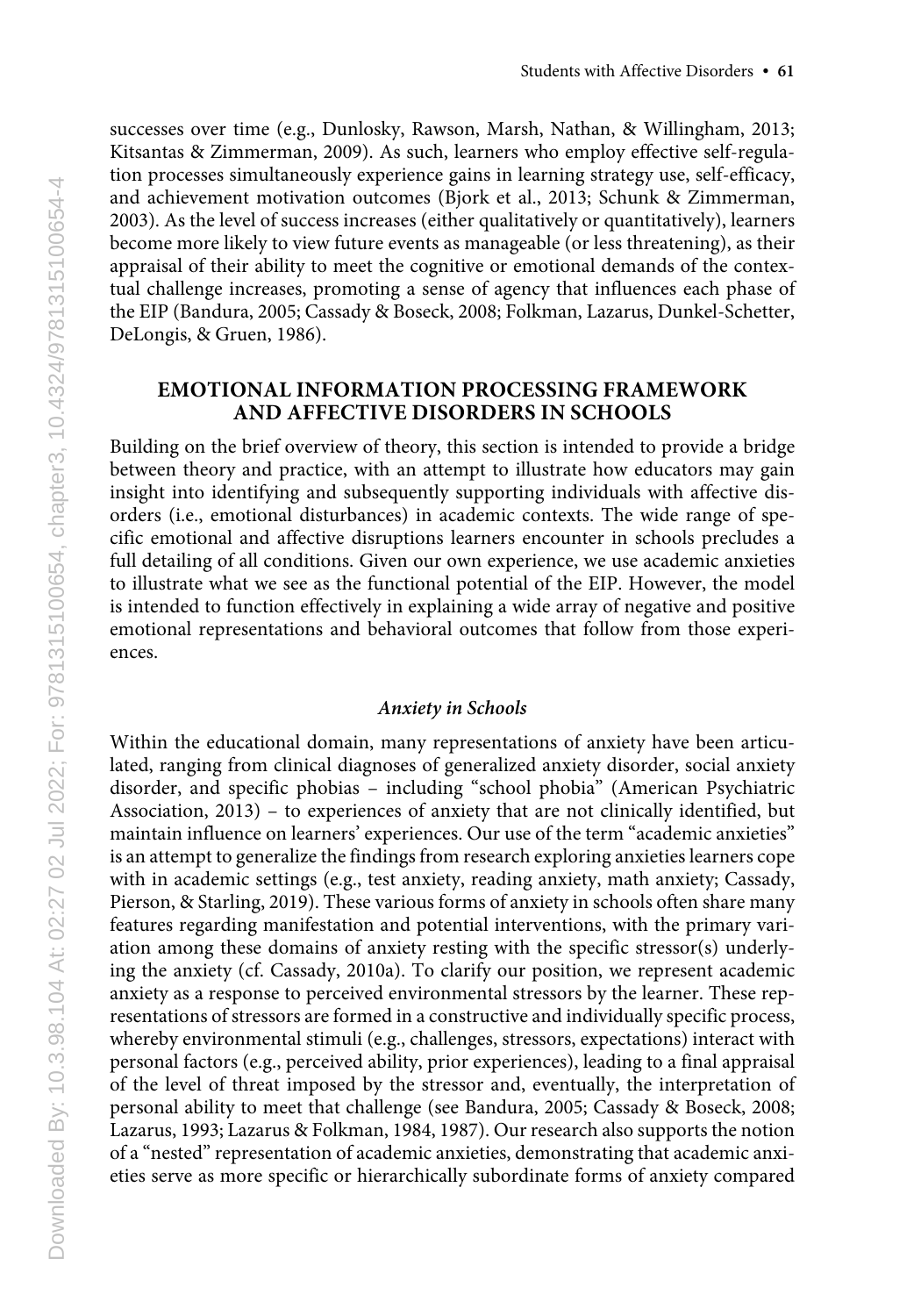successes over time (e.g., Dunlosky, Rawson, Marsh, Nathan, & Willingham, 2013; Kitsantas & Zimmerman, 2009). As such, learners who employ effective self-regulation processes simultaneously experience gains in learning strategy use, self-efficacy, and achievement motivation outcomes (Bjork et al., 2013; Schunk & Zimmerman, 2003). As the level of success increases (either qualitatively or quantitatively), learners become more likely to view future events as manageable (or less threatening), as their appraisal of their ability to meet the cognitive or emotional demands of the contextual challenge increases, promoting a sense of agency that influences each phase of the EIP (Bandura, 2005; Cassady & Boseck, 2008; Folkman, Lazarus, Dunkel-Schetter, DeLongis, & Gruen, 1986).

# **EMOTIONAL INFORMATION PROCESSING FRAMEWORK AND AFFECTIVE DISORDERS IN SCHOOLS**

Building on the brief overview of theory, this section is intended to provide a bridge between theory and practice, with an attempt to illustrate how educators may gain insight into identifying and subsequently supporting individuals with affective disorders (i.e., emotional disturbances) in academic contexts. The wide range of specific emotional and affective disruptions learners encounter in schools precludes a full detailing of all conditions. Given our own experience, we use academic anxieties to illustrate what we see as the functional potential of the EIP. However, the model is intended to function effectively in explaining a wide array of negative and positive emotional representations and behavioral outcomes that follow from those experiences.

#### *Anxiety in Schools*

Within the educational domain, many representations of anxiety have been articulated, ranging from clinical diagnoses of generalized anxiety disorder, social anxiety disorder, and specific phobias – including "school phobia" (American Psychiatric Association, 2013) – to experiences of anxiety that are not clinically identified, but maintain influence on learners' experiences. Our use of the term "academic anxieties" is an attempt to generalize the findings from research exploring anxieties learners cope with in academic settings (e.g., test anxiety, reading anxiety, math anxiety; Cassady, Pierson, & Starling, 2019). These various forms of anxiety in schools often share many features regarding manifestation and potential interventions, with the primary variation among these domains of anxiety resting with the specific stressor(s) underlying the anxiety (cf. Cassady, 2010a). To clarify our position, we represent academic anxiety as a response to perceived environmental stressors by the learner. These representations of stressors are formed in a constructive and individually specific process, whereby environmental stimuli (e.g., challenges, stressors, expectations) interact with personal factors (e.g., perceived ability, prior experiences), leading to a final appraisal of the level of threat imposed by the stressor and, eventually, the interpretation of personal ability to meet that challenge (see Bandura, 2005; Cassady & Boseck, 2008; Lazarus, 1993; Lazarus & Folkman, 1984, 1987). Our research also supports the notion of a "nested" representation of academic anxieties, demonstrating that academic anxieties serve as more specific or hierarchically subordinate forms of anxiety compared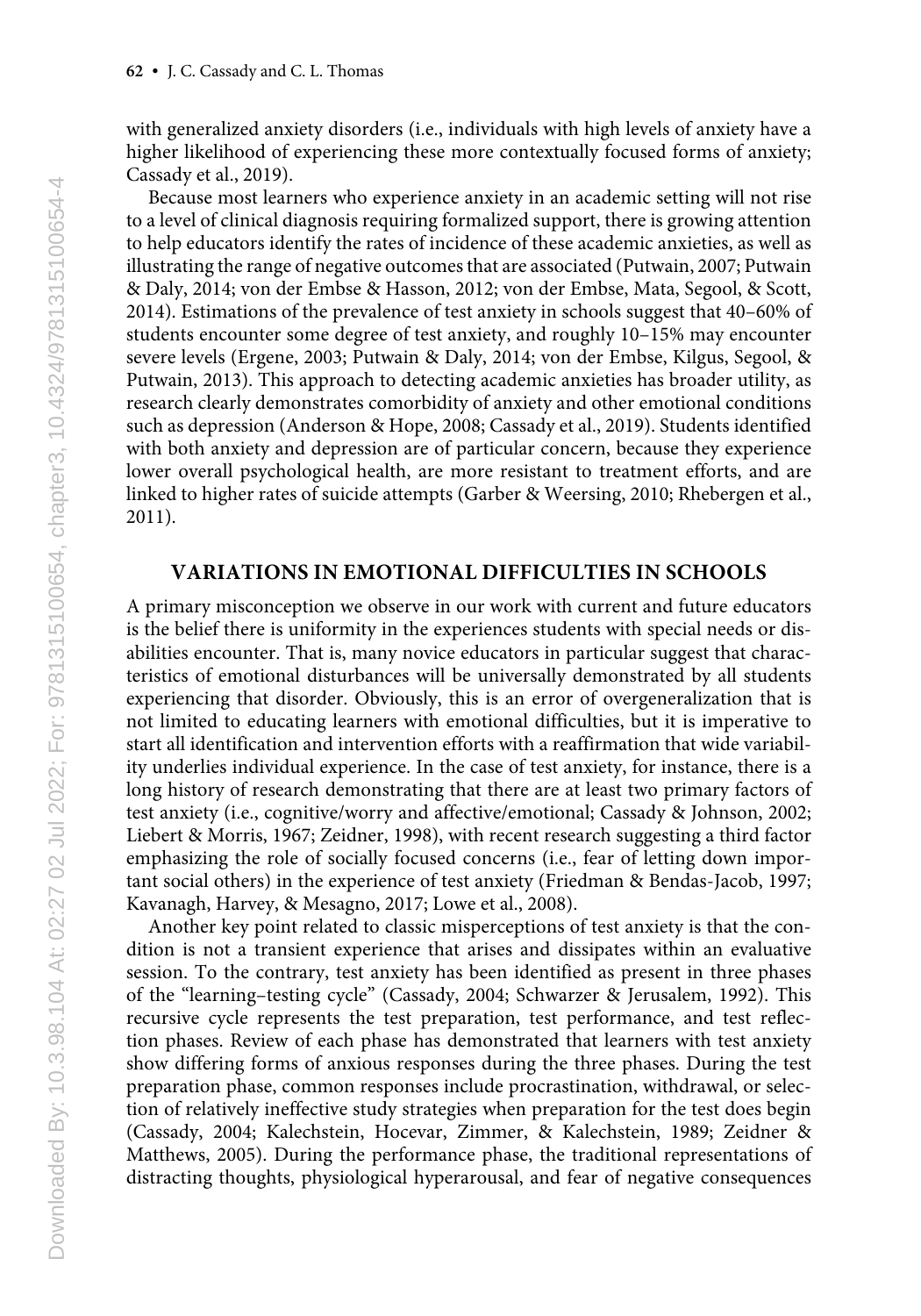with generalized anxiety disorders (i.e., individuals with high levels of anxiety have a higher likelihood of experiencing these more contextually focused forms of anxiety; Cassady et al., 2019).

Because most learners who experience anxiety in an academic setting will not rise to a level of clinical diagnosis requiring formalized support, there is growing attention to help educators identify the rates of incidence of these academic anxieties, as well as illustrating the range of negative outcomes that are associated (Putwain, 2007; Putwain & Daly, 2014; von der Embse & Hasson, 2012; von der Embse, Mata, Segool, & Scott, 2014). Estimations of the prevalence of test anxiety in schools suggest that 40–60% of students encounter some degree of test anxiety, and roughly 10–15% may encounter severe levels (Ergene, 2003; Putwain & Daly, 2014; von der Embse, Kilgus, Segool, & Putwain, 2013). This approach to detecting academic anxieties has broader utility, as research clearly demonstrates comorbidity of anxiety and other emotional conditions such as depression (Anderson & Hope, 2008; Cassady et al., 2019). Students identified with both anxiety and depression are of particular concern, because they experience lower overall psychological health, are more resistant to treatment efforts, and are linked to higher rates of suicide attempts (Garber & Weersing, 2010; Rhebergen et al., 2011).

# **VARIATIONS IN EMOTIONAL DIFFICULTIES IN SCHOOLS**

A primary misconception we observe in our work with current and future educators is the belief there is uniformity in the experiences students with special needs or disabilities encounter. That is, many novice educators in particular suggest that characteristics of emotional disturbances will be universally demonstrated by all students experiencing that disorder. Obviously, this is an error of overgeneralization that is not limited to educating learners with emotional difficulties, but it is imperative to start all identification and intervention efforts with a reaffirmation that wide variability underlies individual experience. In the case of test anxiety, for instance, there is a long history of research demonstrating that there are at least two primary factors of test anxiety (i.e., cognitive/worry and affective/emotional; Cassady & Johnson, 2002; Liebert & Morris, 1967; Zeidner, 1998), with recent research suggesting a third factor emphasizing the role of socially focused concerns (i.e., fear of letting down important social others) in the experience of test anxiety (Friedman & Bendas-Jacob, 1997; Kavanagh, Harvey, & Mesagno, 2017; Lowe et al., 2008).

Another key point related to classic misperceptions of test anxiety is that the condition is not a transient experience that arises and dissipates within an evaluative session. To the contrary, test anxiety has been identified as present in three phases of the "learning–testing cycle" (Cassady, 2004; Schwarzer & Jerusalem, 1992). This recursive cycle represents the test preparation, test performance, and test reflection phases. Review of each phase has demonstrated that learners with test anxiety show differing forms of anxious responses during the three phases. During the test preparation phase, common responses include procrastination, withdrawal, or selection of relatively ineffective study strategies when preparation for the test does begin (Cassady, 2004; Kalechstein, Hocevar, Zimmer, & Kalechstein, 1989; Zeidner & Matthews, 2005). During the performance phase, the traditional representations of distracting thoughts, physiological hyperarousal, and fear of negative consequences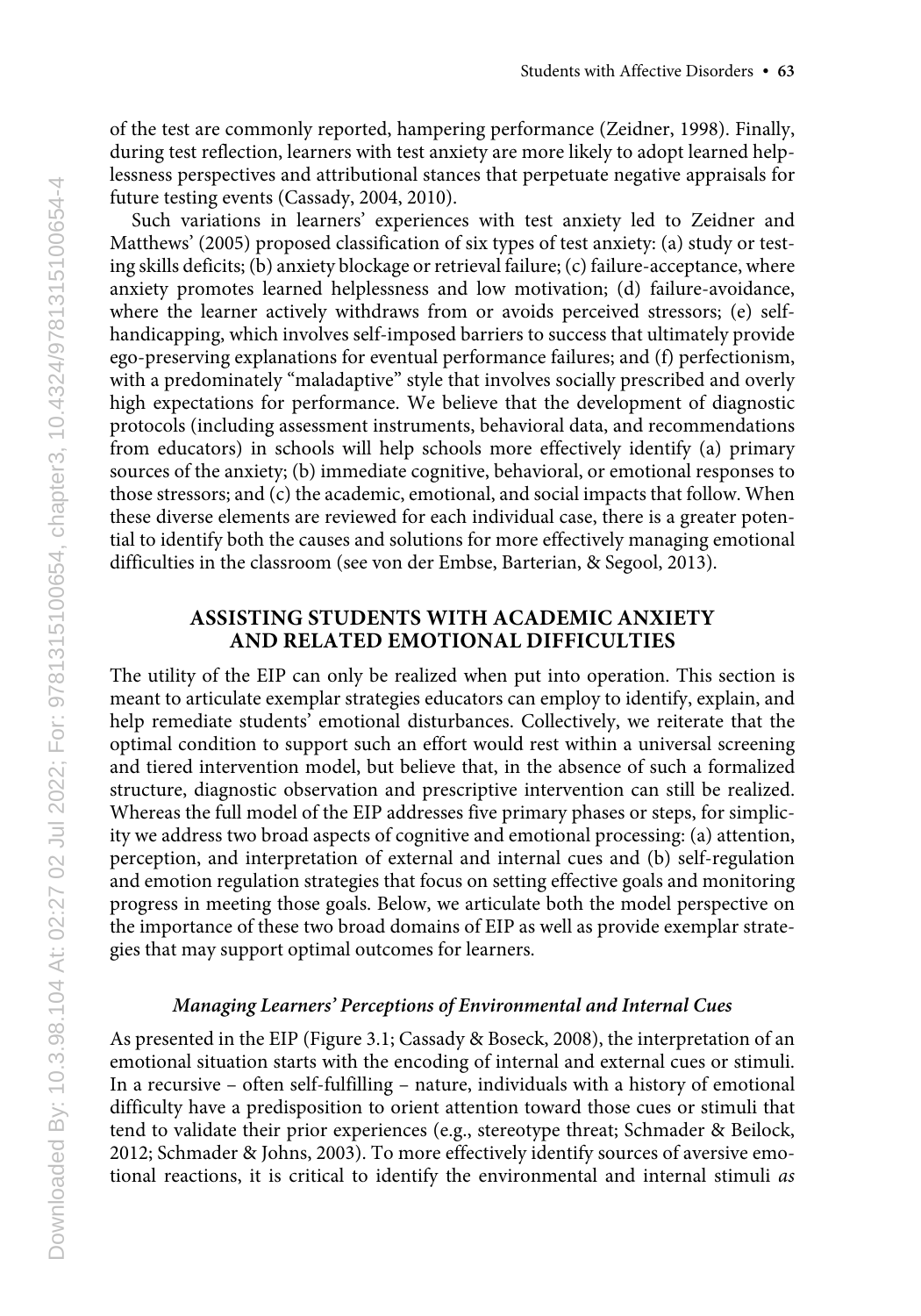of the test are commonly reported, hampering performance (Zeidner, 1998). Finally, during test reflection, learners with test anxiety are more likely to adopt learned helplessness perspectives and attributional stances that perpetuate negative appraisals for future testing events (Cassady, 2004, 2010).

Such variations in learners' experiences with test anxiety led to Zeidner and Matthews' (2005) proposed classification of six types of test anxiety: (a) study or testing skills deficits; (b) anxiety blockage or retrieval failure; (c) failure-acceptance, where anxiety promotes learned helplessness and low motivation; (d) failure-avoidance, where the learner actively withdraws from or avoids perceived stressors; (e) selfhandicapping, which involves self-imposed barriers to success that ultimately provide ego-preserving explanations for eventual performance failures; and (f) perfectionism, with a predominately "maladaptive" style that involves socially prescribed and overly high expectations for performance. We believe that the development of diagnostic protocols (including assessment instruments, behavioral data, and recommendations from educators) in schools will help schools more effectively identify (a) primary sources of the anxiety; (b) immediate cognitive, behavioral, or emotional responses to those stressors; and (c) the academic, emotional, and social impacts that follow. When these diverse elements are reviewed for each individual case, there is a greater potential to identify both the causes and solutions for more effectively managing emotional difficulties in the classroom (see von der Embse, Barterian, & Segool, 2013).

# **ASSISTING STUDENTS WITH ACADEMIC ANXIETY AND RELATED EMOTIONAL DIFFICULTIES**

The utility of the EIP can only be realized when put into operation. This section is meant to articulate exemplar strategies educators can employ to identify, explain, and help remediate students' emotional disturbances. Collectively, we reiterate that the optimal condition to support such an effort would rest within a universal screening and tiered intervention model, but believe that, in the absence of such a formalized structure, diagnostic observation and prescriptive intervention can still be realized. Whereas the full model of the EIP addresses five primary phases or steps, for simplicity we address two broad aspects of cognitive and emotional processing: (a) attention, perception, and interpretation of external and internal cues and (b) self-regulation and emotion regulation strategies that focus on setting effective goals and monitoring progress in meeting those goals. Below, we articulate both the model perspective on the importance of these two broad domains of EIP as well as provide exemplar strategies that may support optimal outcomes for learners.

#### *Managing Learners' Perceptions of Environmental and Internal Cues*

As presented in the EIP (Figure 3.1; Cassady & Boseck, 2008), the interpretation of an emotional situation starts with the encoding of internal and external cues or stimuli. In a recursive – often self-fulfilling – nature, individuals with a history of emotional difficulty have a predisposition to orient attention toward those cues or stimuli that tend to validate their prior experiences (e.g., stereotype threat; Schmader & Beilock, 2012; Schmader & Johns, 2003). To more effectively identify sources of aversive emotional reactions, it is critical to identify the environmental and internal stimuli *as*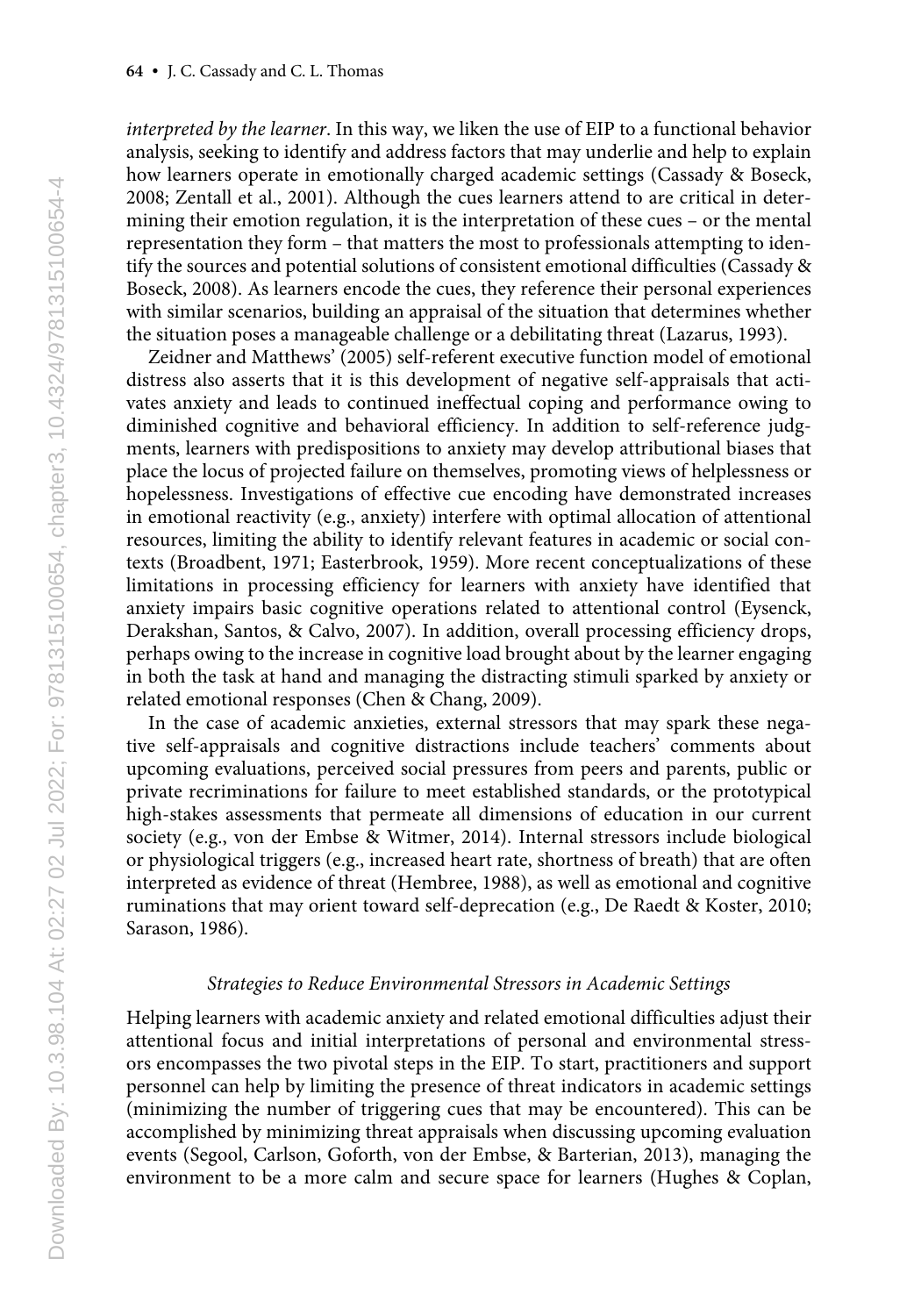*interpreted by the learner*. In this way, we liken the use of EIP to a functional behavior analysis, seeking to identify and address factors that may underlie and help to explain how learners operate in emotionally charged academic settings (Cassady & Boseck, 2008; Zentall et al., 2001). Although the cues learners attend to are critical in determining their emotion regulation, it is the interpretation of these cues – or the mental representation they form – that matters the most to professionals attempting to identify the sources and potential solutions of consistent emotional difficulties (Cassady & Boseck, 2008). As learners encode the cues, they reference their personal experiences with similar scenarios, building an appraisal of the situation that determines whether the situation poses a manageable challenge or a debilitating threat (Lazarus, 1993).

Zeidner and Matthews' (2005) self-referent executive function model of emotional distress also asserts that it is this development of negative self-appraisals that activates anxiety and leads to continued ineffectual coping and performance owing to diminished cognitive and behavioral efficiency. In addition to self-reference judgments, learners with predispositions to anxiety may develop attributional biases that place the locus of projected failure on themselves, promoting views of helplessness or hopelessness. Investigations of effective cue encoding have demonstrated increases in emotional reactivity (e.g., anxiety) interfere with optimal allocation of attentional resources, limiting the ability to identify relevant features in academic or social contexts (Broadbent, 1971; Easterbrook, 1959). More recent conceptualizations of these limitations in processing efficiency for learners with anxiety have identified that anxiety impairs basic cognitive operations related to attentional control (Eysenck, Derakshan, Santos, & Calvo, 2007). In addition, overall processing efficiency drops, perhaps owing to the increase in cognitive load brought about by the learner engaging in both the task at hand and managing the distracting stimuli sparked by anxiety or related emotional responses (Chen & Chang, 2009).

In the case of academic anxieties, external stressors that may spark these negative self-appraisals and cognitive distractions include teachers' comments about upcoming evaluations, perceived social pressures from peers and parents, public or private recriminations for failure to meet established standards, or the prototypical high-stakes assessments that permeate all dimensions of education in our current society (e.g., von der Embse & Witmer, 2014). Internal stressors include biological or physiological triggers (e.g., increased heart rate, shortness of breath) that are often interpreted as evidence of threat (Hembree, 1988), as well as emotional and cognitive ruminations that may orient toward self-deprecation (e.g., De Raedt & Koster, 2010; Sarason, 1986).

#### *Strategies to Reduce Environmental Stressors in Academic Settings*

Helping learners with academic anxiety and related emotional difficulties adjust their attentional focus and initial interpretations of personal and environmental stressors encompasses the two pivotal steps in the EIP. To start, practitioners and support personnel can help by limiting the presence of threat indicators in academic settings (minimizing the number of triggering cues that may be encountered). This can be accomplished by minimizing threat appraisals when discussing upcoming evaluation events (Segool, Carlson, Goforth, von der Embse, & Barterian, 2013), managing the environment to be a more calm and secure space for learners (Hughes & Coplan,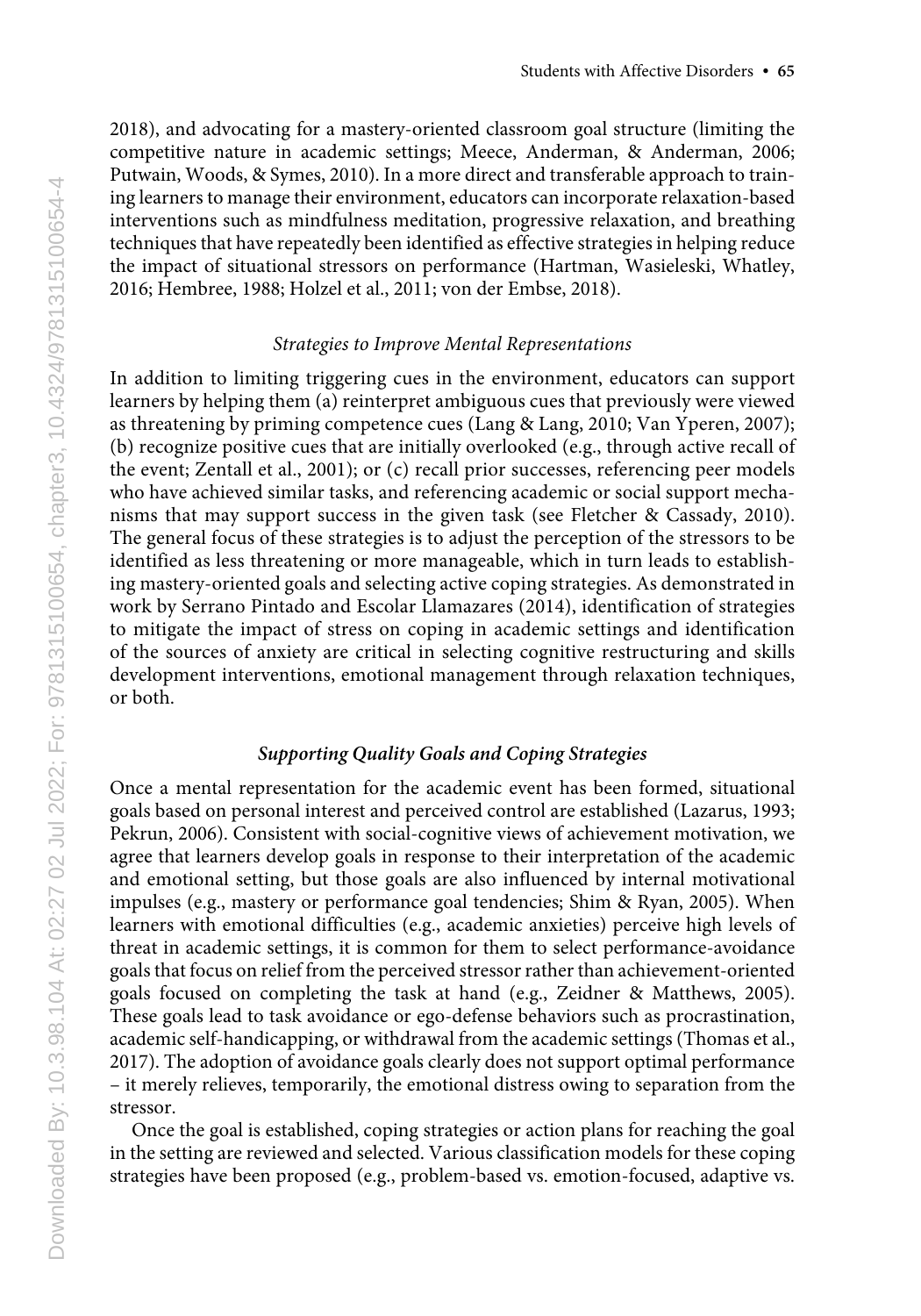2018), and advocating for a mastery-oriented classroom goal structure (limiting the competitive nature in academic settings; Meece, Anderman, & Anderman, 2006; Putwain, Woods, & Symes, 2010). In a more direct and transferable approach to training learners to manage their environment, educators can incorporate relaxation-based interventions such as mindfulness meditation, progressive relaxation, and breathing techniques that have repeatedly been identified as effective strategies in helping reduce the impact of situational stressors on performance (Hartman, Wasieleski, Whatley, 2016; Hembree, 1988; Holzel et al., 2011; von der Embse, 2018).

#### *Strategies to Improve Mental Representations*

In addition to limiting triggering cues in the environment, educators can support learners by helping them (a) reinterpret ambiguous cues that previously were viewed as threatening by priming competence cues (Lang & Lang, 2010; Van Yperen, 2007); (b) recognize positive cues that are initially overlooked (e.g., through active recall of the event; Zentall et al., 2001); or (c) recall prior successes, referencing peer models who have achieved similar tasks, and referencing academic or social support mechanisms that may support success in the given task (see Fletcher & Cassady, 2010). The general focus of these strategies is to adjust the perception of the stressors to be identified as less threatening or more manageable, which in turn leads to establishing mastery-oriented goals and selecting active coping strategies. As demonstrated in work by Serrano Pintado and Escolar Llamazares (2014), identification of strategies to mitigate the impact of stress on coping in academic settings and identification of the sources of anxiety are critical in selecting cognitive restructuring and skills development interventions, emotional management through relaxation techniques, or both.

## *Supporting Quality Goals and Coping Strategies*

Once a mental representation for the academic event has been formed, situational goals based on personal interest and perceived control are established (Lazarus, 1993; Pekrun, 2006). Consistent with social-cognitive views of achievement motivation, we agree that learners develop goals in response to their interpretation of the academic and emotional setting, but those goals are also influenced by internal motivational impulses (e.g., mastery or performance goal tendencies; Shim & Ryan, 2005). When learners with emotional difficulties (e.g., academic anxieties) perceive high levels of threat in academic settings, it is common for them to select performance-avoidance goals that focus on relief from the perceived stressor rather than achievement-oriented goals focused on completing the task at hand (e.g., Zeidner & Matthews, 2005). These goals lead to task avoidance or ego-defense behaviors such as procrastination, academic self-handicapping, or withdrawal from the academic settings (Thomas et al., 2017). The adoption of avoidance goals clearly does not support optimal performance – it merely relieves, temporarily, the emotional distress owing to separation from the stressor.

Once the goal is established, coping strategies or action plans for reaching the goal in the setting are reviewed and selected. Various classification models for these coping strategies have been proposed (e.g., problem-based vs. emotion-focused, adaptive vs.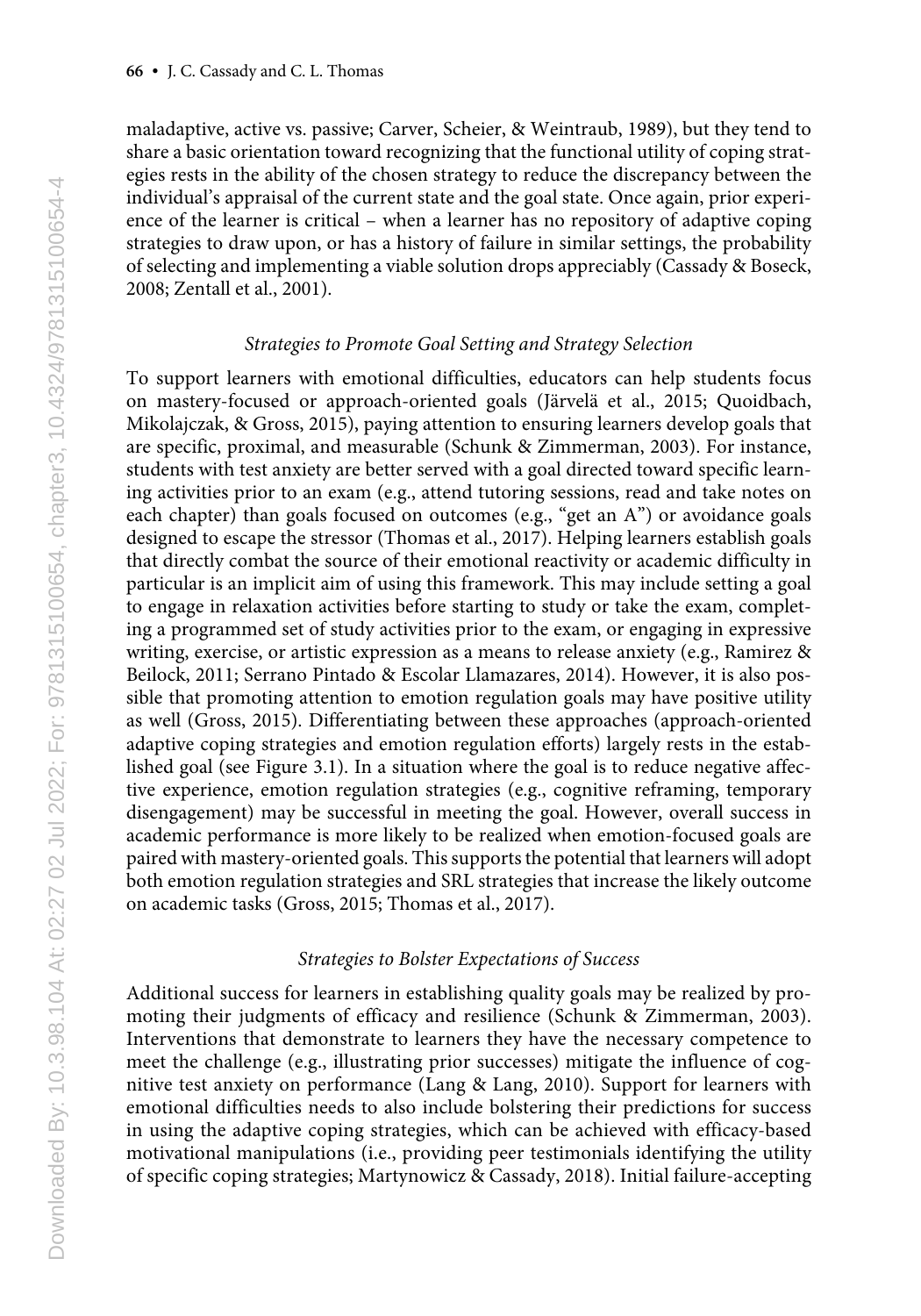maladaptive, active vs. passive; Carver, Scheier, & Weintraub, 1989), but they tend to share a basic orientation toward recognizing that the functional utility of coping strategies rests in the ability of the chosen strategy to reduce the discrepancy between the individual's appraisal of the current state and the goal state. Once again, prior experience of the learner is critical – when a learner has no repository of adaptive coping strategies to draw upon, or has a history of failure in similar settings, the probability of selecting and implementing a viable solution drops appreciably (Cassady & Boseck, 2008; Zentall et al., 2001).

#### *Strategies to Promote Goal Setting and Strategy Selection*

To support learners with emotional difficulties, educators can help students focus on mastery-focused or approach-oriented goals (Järvelä et al., 2015; Quoidbach, Mikolajczak, & Gross, 2015), paying attention to ensuring learners develop goals that are specific, proximal, and measurable (Schunk & Zimmerman, 2003). For instance, students with test anxiety are better served with a goal directed toward specific learning activities prior to an exam (e.g., attend tutoring sessions, read and take notes on each chapter) than goals focused on outcomes (e.g., "get an A") or avoidance goals designed to escape the stressor (Thomas et al., 2017). Helping learners establish goals that directly combat the source of their emotional reactivity or academic difficulty in particular is an implicit aim of using this framework. This may include setting a goal to engage in relaxation activities before starting to study or take the exam, completing a programmed set of study activities prior to the exam, or engaging in expressive writing, exercise, or artistic expression as a means to release anxiety (e.g., Ramirez & Beilock, 2011; Serrano Pintado & Escolar Llamazares, 2014). However, it is also possible that promoting attention to emotion regulation goals may have positive utility as well (Gross, 2015). Differentiating between these approaches (approach-oriented adaptive coping strategies and emotion regulation efforts) largely rests in the established goal (see Figure 3.1). In a situation where the goal is to reduce negative affective experience, emotion regulation strategies (e.g., cognitive reframing, temporary disengagement) may be successful in meeting the goal. However, overall success in academic performance is more likely to be realized when emotion-focused goals are paired with mastery-oriented goals. This supports the potential that learners will adopt both emotion regulation strategies and SRL strategies that increase the likely outcome on academic tasks (Gross, 2015; Thomas et al., 2017).

#### *Strategies to Bolster Expectations of Success*

Additional success for learners in establishing quality goals may be realized by promoting their judgments of efficacy and resilience (Schunk & Zimmerman, 2003). Interventions that demonstrate to learners they have the necessary competence to meet the challenge (e.g., illustrating prior successes) mitigate the influence of cognitive test anxiety on performance (Lang & Lang, 2010). Support for learners with emotional difficulties needs to also include bolstering their predictions for success in using the adaptive coping strategies, which can be achieved with efficacy-based motivational manipulations (i.e., providing peer testimonials identifying the utility of specific coping strategies; Martynowicz & Cassady, 2018). Initial failure-accepting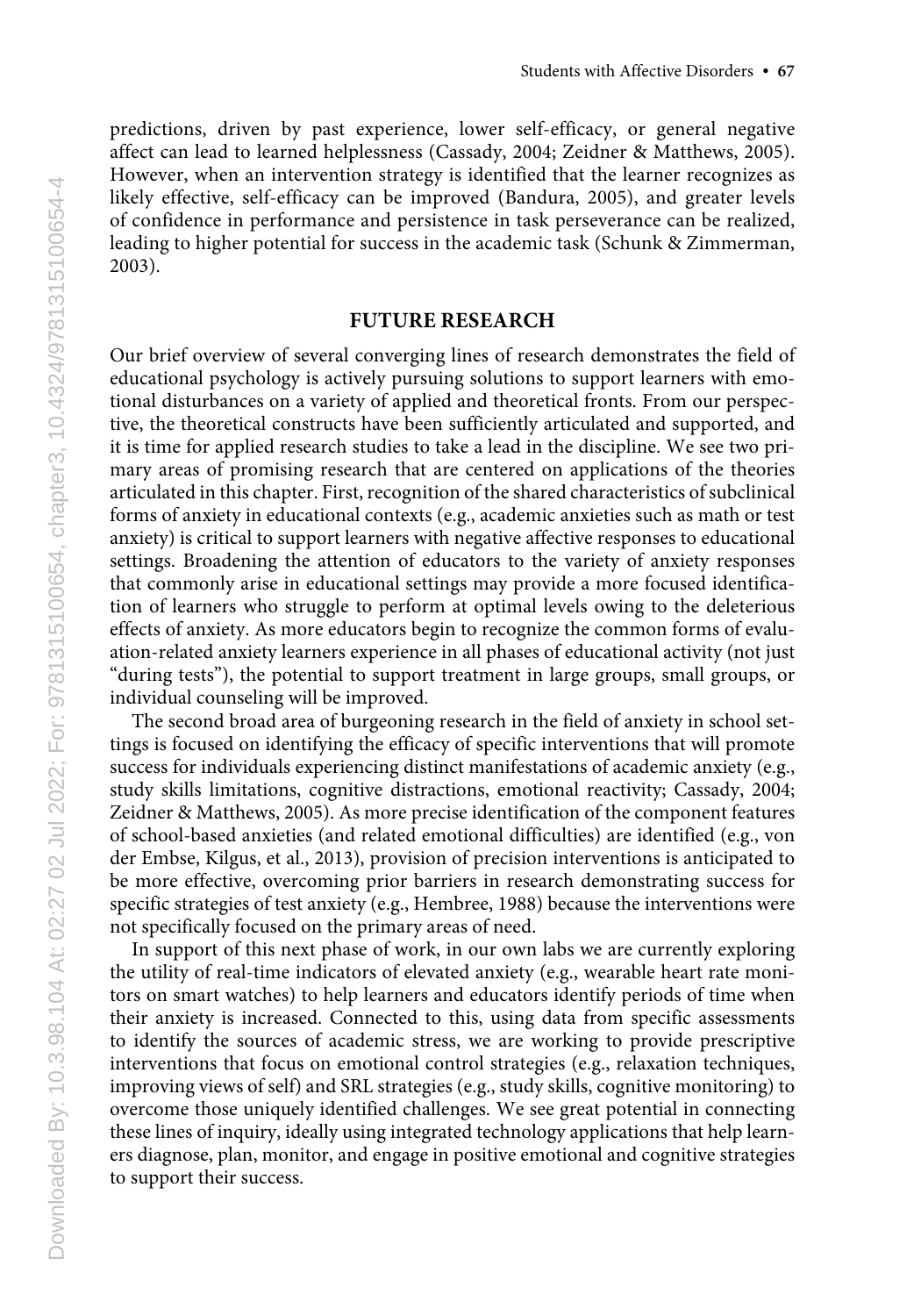predictions, driven by past experience, lower self-efficacy, or general negative affect can lead to learned helplessness (Cassady, 2004; Zeidner & Matthews, 2005). However, when an intervention strategy is identified that the learner recognizes as likely effective, self-efficacy can be improved (Bandura, 2005), and greater levels of confidence in performance and persistence in task perseverance can be realized, leading to higher potential for success in the academic task (Schunk & Zimmerman, 2003).

#### **FUTURE RESEARCH**

Our brief overview of several converging lines of research demonstrates the field of educational psychology is actively pursuing solutions to support learners with emotional disturbances on a variety of applied and theoretical fronts. From our perspective, the theoretical constructs have been sufficiently articulated and supported, and it is time for applied research studies to take a lead in the discipline. We see two primary areas of promising research that are centered on applications of the theories articulated in this chapter. First, recognition of the shared characteristics of subclinical forms of anxiety in educational contexts (e.g., academic anxieties such as math or test anxiety) is critical to support learners with negative affective responses to educational settings. Broadening the attention of educators to the variety of anxiety responses that commonly arise in educational settings may provide a more focused identification of learners who struggle to perform at optimal levels owing to the deleterious effects of anxiety. As more educators begin to recognize the common forms of evaluation-related anxiety learners experience in all phases of educational activity (not just "during tests"), the potential to support treatment in large groups, small groups, or individual counseling will be improved.

The second broad area of burgeoning research in the field of anxiety in school settings is focused on identifying the efficacy of specific interventions that will promote success for individuals experiencing distinct manifestations of academic anxiety (e.g., study skills limitations, cognitive distractions, emotional reactivity; Cassady, 2004; Zeidner & Matthews, 2005). As more precise identification of the component features of school-based anxieties (and related emotional difficulties) are identified (e.g., von der Embse, Kilgus, et al., 2013), provision of precision interventions is anticipated to be more effective, overcoming prior barriers in research demonstrating success for specific strategies of test anxiety (e.g., Hembree, 1988) because the interventions were not specifically focused on the primary areas of need.

In support of this next phase of work, in our own labs we are currently exploring the utility of real-time indicators of elevated anxiety (e.g., wearable heart rate monitors on smart watches) to help learners and educators identify periods of time when their anxiety is increased. Connected to this, using data from specific assessments to identify the sources of academic stress, we are working to provide prescriptive interventions that focus on emotional control strategies (e.g., relaxation techniques, improving views of self) and SRL strategies (e.g., study skills, cognitive monitoring) to overcome those uniquely identified challenges. We see great potential in connecting these lines of inquiry, ideally using integrated technology applications that help learners diagnose, plan, monitor, and engage in positive emotional and cognitive strategies to support their success.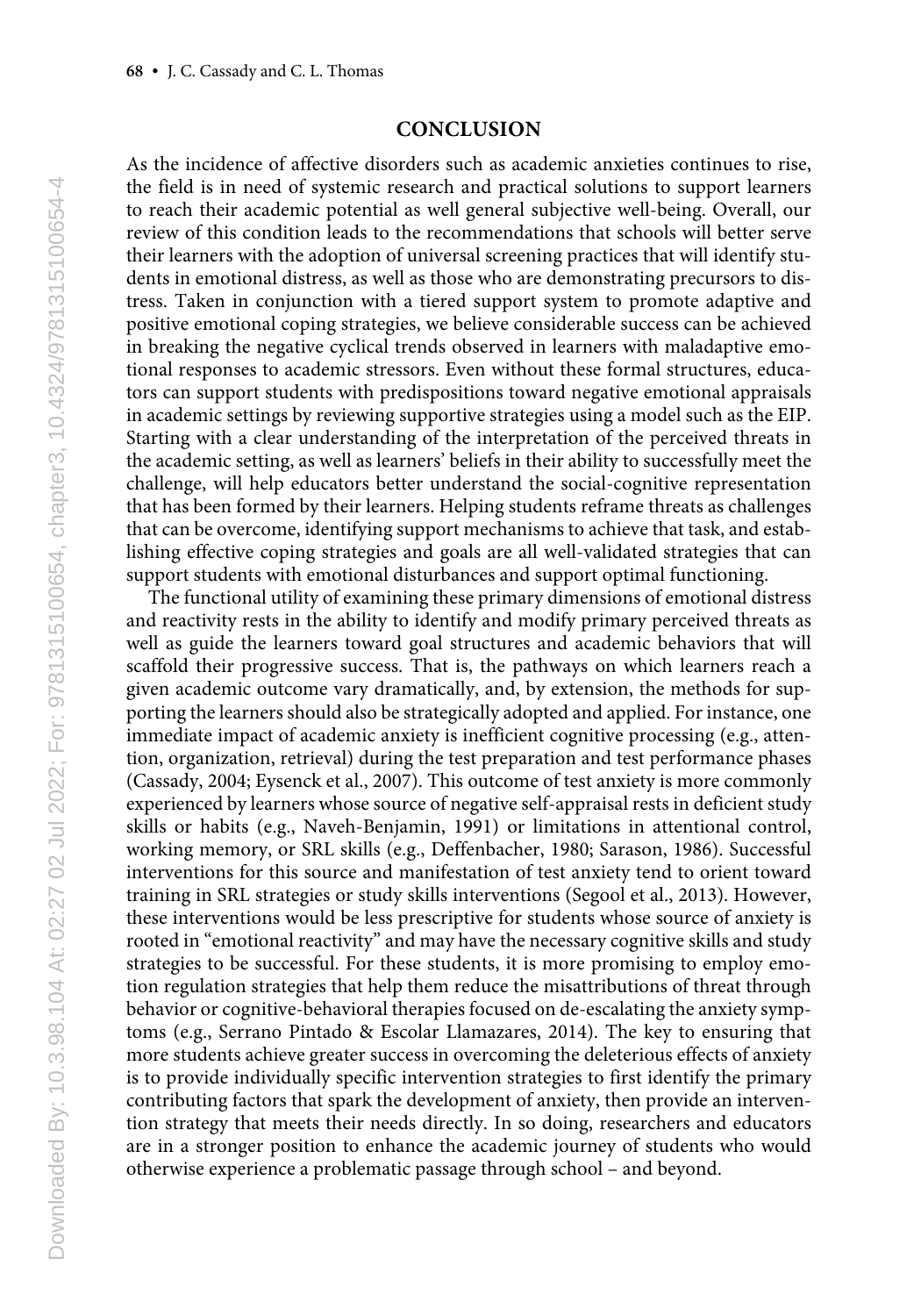# **CONCLUSION**

As the incidence of affective disorders such as academic anxieties continues to rise, the field is in need of systemic research and practical solutions to support learners to reach their academic potential as well general subjective well-being. Overall, our review of this condition leads to the recommendations that schools will better serve their learners with the adoption of universal screening practices that will identify students in emotional distress, as well as those who are demonstrating precursors to distress. Taken in conjunction with a tiered support system to promote adaptive and positive emotional coping strategies, we believe considerable success can be achieved in breaking the negative cyclical trends observed in learners with maladaptive emotional responses to academic stressors. Even without these formal structures, educators can support students with predispositions toward negative emotional appraisals in academic settings by reviewing supportive strategies using a model such as the EIP. Starting with a clear understanding of the interpretation of the perceived threats in the academic setting, as well as learners' beliefs in their ability to successfully meet the challenge, will help educators better understand the social-cognitive representation that has been formed by their learners. Helping students reframe threats as challenges that can be overcome, identifying support mechanisms to achieve that task, and establishing effective coping strategies and goals are all well-validated strategies that can support students with emotional disturbances and support optimal functioning.

The functional utility of examining these primary dimensions of emotional distress and reactivity rests in the ability to identify and modify primary perceived threats as well as guide the learners toward goal structures and academic behaviors that will scaffold their progressive success. That is, the pathways on which learners reach a given academic outcome vary dramatically, and, by extension, the methods for supporting the learners should also be strategically adopted and applied. For instance, one immediate impact of academic anxiety is inefficient cognitive processing (e.g., attention, organization, retrieval) during the test preparation and test performance phases (Cassady, 2004; Eysenck et al., 2007). This outcome of test anxiety is more commonly experienced by learners whose source of negative self-appraisal rests in deficient study skills or habits (e.g., Naveh-Benjamin, 1991) or limitations in attentional control, working memory, or SRL skills (e.g., Deffenbacher, 1980; Sarason, 1986). Successful interventions for this source and manifestation of test anxiety tend to orient toward training in SRL strategies or study skills interventions (Segool et al., 2013). However, these interventions would be less prescriptive for students whose source of anxiety is rooted in "emotional reactivity" and may have the necessary cognitive skills and study strategies to be successful. For these students, it is more promising to employ emotion regulation strategies that help them reduce the misattributions of threat through behavior or cognitive-behavioral therapies focused on de-escalating the anxiety symptoms (e.g., Serrano Pintado & Escolar Llamazares, 2014). The key to ensuring that more students achieve greater success in overcoming the deleterious effects of anxiety is to provide individually specific intervention strategies to first identify the primary contributing factors that spark the development of anxiety, then provide an intervention strategy that meets their needs directly. In so doing, researchers and educators are in a stronger position to enhance the academic journey of students who would otherwise experience a problematic passage through school – and beyond.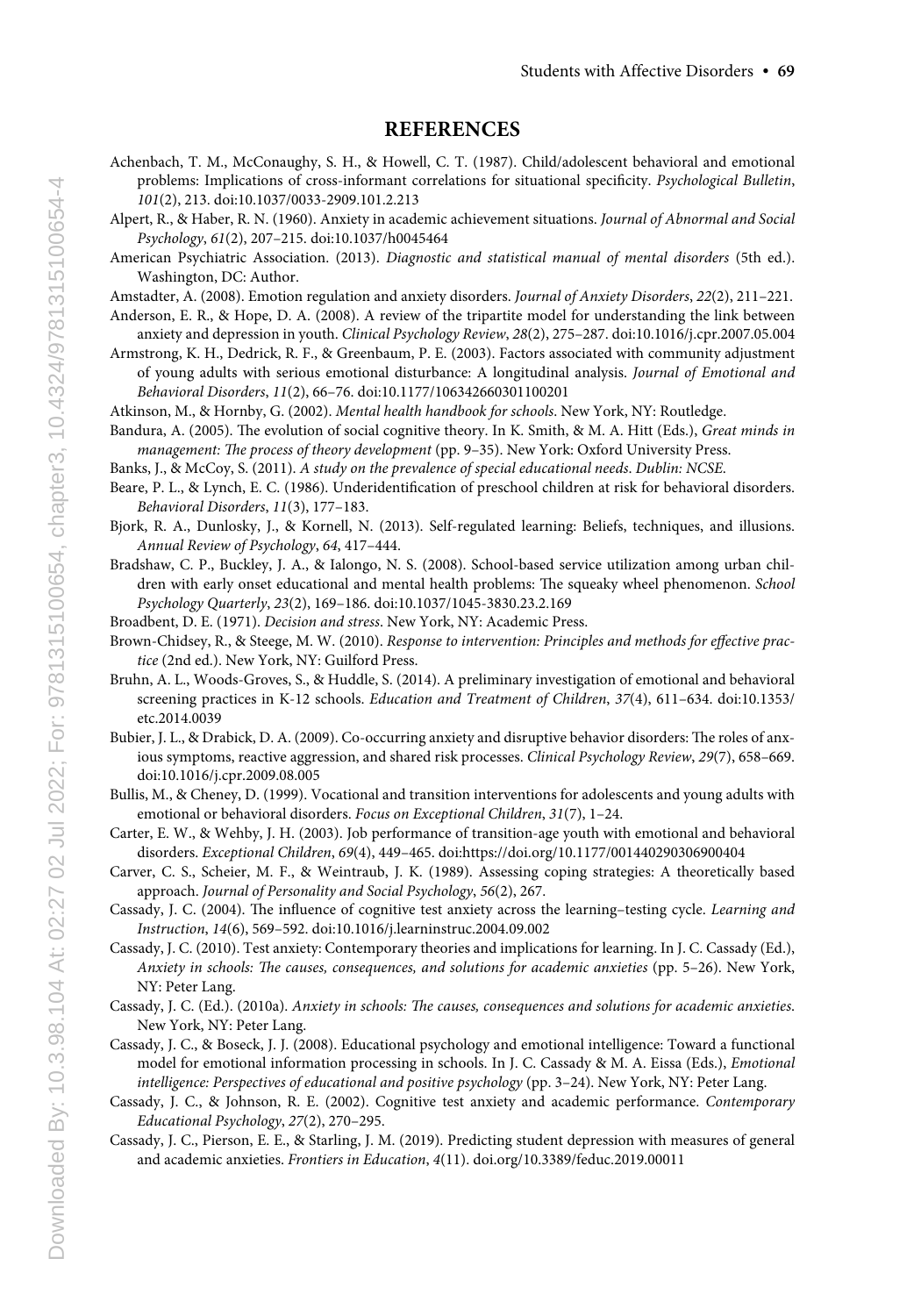#### **REFERENCES**

- Achenbach, T. M., McConaughy, S. H., & Howell, C. T. (1987). Child/adolescent behavioral and emotional problems: Implications of cross-informant correlations for situational specificity. *Psychological Bulletin*, *101*(2), 213. doi:10.1037/0033-2909.101.2.213
- Alpert, R., & Haber, R. N. (1960). Anxiety in academic achievement situations. *Journal of Abnormal and Social Psychology*, *61*(2), 207–215. doi:10.1037/h0045464
- American Psychiatric Association. (2013). *Diagnostic and statistical manual of mental disorders* (5th ed.). Washington, DC: Author.
- Amstadter, A. (2008). Emotion regulation and anxiety disorders. *Journal of Anxiety Disorders*, *22*(2), 211–221.
- Anderson, E. R., & Hope, D. A. (2008). A review of the tripartite model for understanding the link between anxiety and depression in youth. *Clinical Psychology Review*, *28*(2), 275–287. doi:10.1016/j.cpr.2007.05.004
- Armstrong, K. H., Dedrick, R. F., & Greenbaum, P. E. (2003). Factors associated with community adjustment of young adults with serious emotional disturbance: A longitudinal analysis. *Journal of Emotional and Behavioral Disorders*, *11*(2), 66–76. doi:10.1177/106342660301100201
- Atkinson, M., & Hornby, G. (2002). *Mental health handbook for schools*. New York, NY: Routledge.
- Bandura, A. (2005). The evolution of social cognitive theory. In K. Smith, & M. A. Hitt (Eds.), *Great minds in management: The process of theory development* (pp. 9–35). New York: Oxford University Press.
- Banks, J., & McCoy, S. (2011). *A study on the prevalence of special educational needs*. *Dublin: NCSE*.
- Beare, P. L., & Lynch, E. C. (1986). Underidentification of preschool children at risk for behavioral disorders. *Behavioral Disorders*, *11*(3), 177–183.
- Bjork, R. A., Dunlosky, J., & Kornell, N. (2013). Self-regulated learning: Beliefs, techniques, and illusions. *Annual Review of Psychology*, *64*, 417–444.
- Bradshaw, C. P., Buckley, J. A., & Ialongo, N. S. (2008). School-based service utilization among urban children with early onset educational and mental health problems: The squeaky wheel phenomenon. *School Psychology Quarterly*, *23*(2), 169–186. doi:10.1037/1045-3830.23.2.169
- Broadbent, D. E. (1971). *Decision and stress*. New York, NY: Academic Press.
- Brown-Chidsey, R., & Steege, M. W. (2010). *Response to intervention: Principles and methods for effective practice* (2nd ed.). New York, NY: Guilford Press.
- Bruhn, A. L., Woods-Groves, S., & Huddle, S. (2014). A preliminary investigation of emotional and behavioral screening practices in K-12 schools. *Education and Treatment of Children*, *37*(4), 611–634. doi:10.1353/ etc.2014.0039
- Bubier, J. L., & Drabick, D. A. (2009). Co-occurring anxiety and disruptive behavior disorders: The roles of anxious symptoms, reactive aggression, and shared risk processes. *Clinical Psychology Review*, *29*(7), 658–669. doi:10.1016/j.cpr.2009.08.005
- Bullis, M., & Cheney, D. (1999). Vocational and transition interventions for adolescents and young adults with emotional or behavioral disorders. *Focus on Exceptional Children*, *31*(7), 1–24.
- Carter, E. W., & Wehby, J. H. (2003). Job performance of transition-age youth with emotional and behavioral disorders. *Exceptional Children*, *69*(4), 449–465. doi:https://doi.org/10.1177/001440290306900404
- Carver, C. S., Scheier, M. F., & Weintraub, J. K. (1989). Assessing coping strategies: A theoretically based approach. *Journal of Personality and Social Psychology*, *56*(2), 267.
- Cassady, J. C. (2004). The influence of cognitive test anxiety across the learning–testing cycle. *Learning and Instruction*, *14*(6), 569–592. doi:10.1016/j.learninstruc.2004.09.002
- Cassady, J. C. (2010). Test anxiety: Contemporary theories and implications for learning. In J. C. Cassady (Ed.), *Anxiety in schools: The causes, consequences, and solutions for academic anxieties* (pp. 5–26). New York, NY: Peter Lang.
- Cassady, J. C. (Ed.). (2010a). *Anxiety in schools: The causes, consequences and solutions for academic anxieties*. New York, NY: Peter Lang.
- Cassady, J. C., & Boseck, J. J. (2008). Educational psychology and emotional intelligence: Toward a functional model for emotional information processing in schools. In J. C. Cassady & M. A. Eissa (Eds.), *Emotional intelligence: Perspectives of educational and positive psychology* (pp. 3–24). New York, NY: Peter Lang.
- Cassady, J. C., & Johnson, R. E. (2002). Cognitive test anxiety and academic performance. *Contemporary Educational Psychology*, *27*(2), 270–295.
- Cassady, J. C., Pierson, E. E., & Starling, J. M. (2019). Predicting student depression with measures of general and academic anxieties. *Frontiers in Education*, *4*(11). doi.org/10.3389/feduc.2019.00011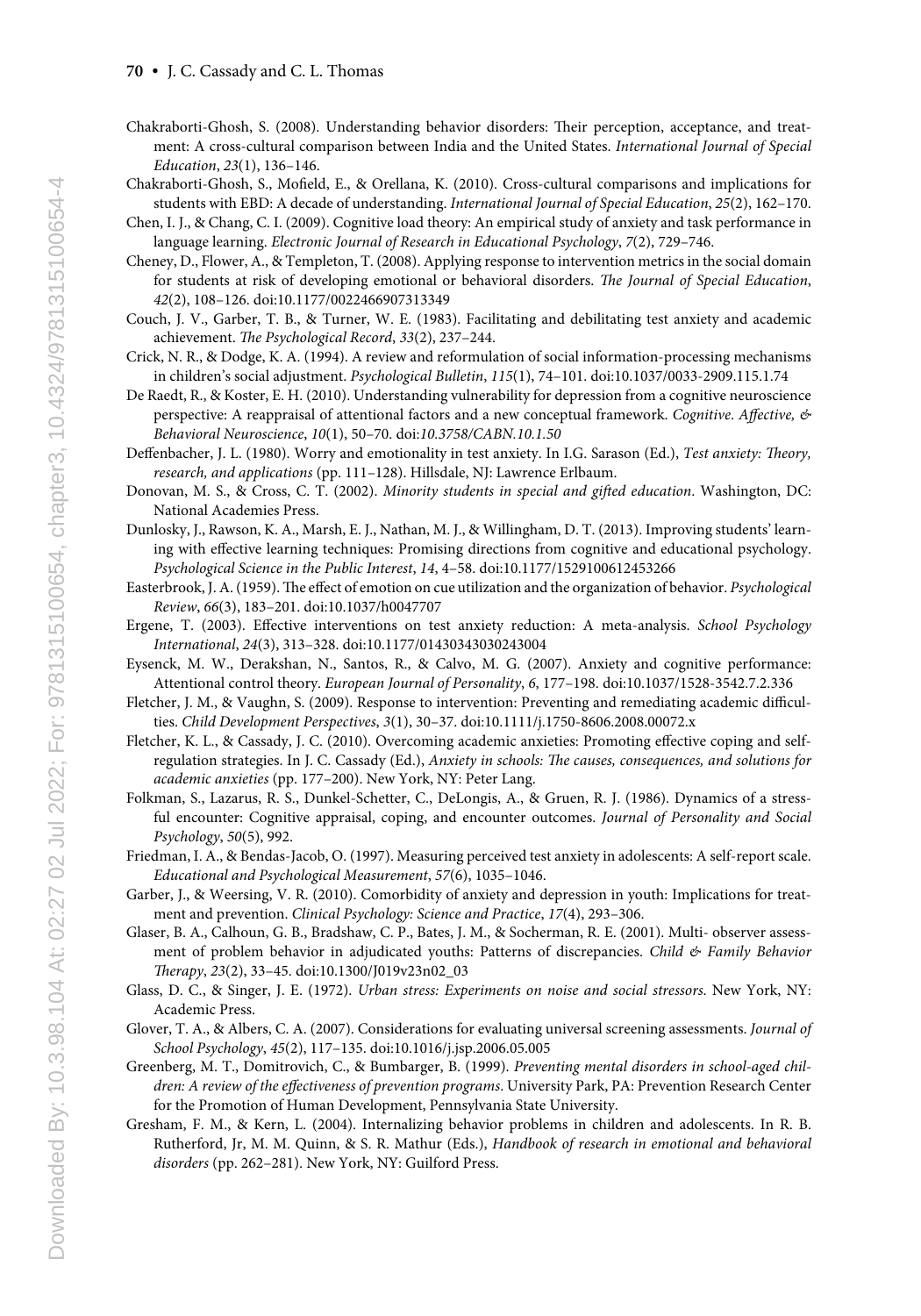- Chakraborti-Ghosh, S. (2008). Understanding behavior disorders: Their perception, acceptance, and treatment: A cross-cultural comparison between India and the United States. *International Journal of Special Education*, *23*(1), 136–146.
- Chakraborti-Ghosh, S., Mofield, E., & Orellana, K. (2010). Cross-cultural comparisons and implications for students with EBD: A decade of understanding. *International Journal of Special Education*, *25*(2), 162–170.
- Chen, I. J., & Chang, C. I. (2009). Cognitive load theory: An empirical study of anxiety and task performance in language learning. *Electronic Journal of Research in Educational Psychology*, *7*(2), 729–746.
- Cheney, D., Flower, A., & Templeton, T. (2008). Applying response to intervention metrics in the social domain for students at risk of developing emotional or behavioral disorders. *The Journal of Special Education*, *42*(2), 108–126. doi:10.1177/0022466907313349
- Couch, J. V., Garber, T. B., & Turner, W. E. (1983). Facilitating and debilitating test anxiety and academic achievement. *The Psychological Record*, *33*(2), 237–244.
- Crick, N. R., & Dodge, K. A. (1994). A review and reformulation of social information-processing mechanisms in children's social adjustment. *Psychological Bulletin*, *115*(1), 74–101. doi:10.1037/0033-2909.115.1.74
- De Raedt, R., & Koster, E. H. (2010). Understanding vulnerability for depression from a cognitive neuroscience perspective: A reappraisal of attentional factors and a new conceptual framework. *Cognitive*. *Affective, & Behavioral Neuroscience*, *10*(1), 50–70. doi:*10.3758/CABN.10.1.50*
- Deffenbacher, J. L. (1980). Worry and emotionality in test anxiety. In I.G. Sarason (Ed.), *Test anxiety: Theory, research, and applications* (pp. 111–128). Hillsdale, NJ: Lawrence Erlbaum.
- Donovan, M. S., & Cross, C. T. (2002). *Minority students in special and gifted education*. Washington, DC: National Academies Press.
- Dunlosky, J., Rawson, K. A., Marsh, E. J., Nathan, M. J., & Willingham, D. T. (2013). Improving students' learning with effective learning techniques: Promising directions from cognitive and educational psychology. *Psychological Science in the Public Interest*, *14*, 4–58. doi:10.1177/1529100612453266
- Easterbrook, J. A. (1959). The effect of emotion on cue utilization and the organization of behavior. *Psychological Review*, *66*(3), 183–201. doi:10.1037/h0047707
- Ergene, T. (2003). Effective interventions on test anxiety reduction: A meta-analysis. *School Psychology International*, *24*(3), 313–328. doi:10.1177/01430343030243004
- Eysenck, M. W., Derakshan, N., Santos, R., & Calvo, M. G. (2007). Anxiety and cognitive performance: Attentional control theory. *European Journal of Personality*, *6*, 177–198. doi:10.1037/1528-3542.7.2.336
- Fletcher, J. M., & Vaughn, S. (2009). Response to intervention: Preventing and remediating academic difficulties. *Child Development Perspectives*, *3*(1), 30–37. doi:10.1111/j.1750-8606.2008.00072.x
- Fletcher, K. L., & Cassady, J. C. (2010). Overcoming academic anxieties: Promoting effective coping and selfregulation strategies. In J. C. Cassady (Ed.), *Anxiety in schools: The causes, consequences, and solutions for academic anxieties* (pp. 177–200). New York, NY: Peter Lang.
- Folkman, S., Lazarus, R. S., Dunkel-Schetter, C., DeLongis, A., & Gruen, R. J. (1986). Dynamics of a stressful encounter: Cognitive appraisal, coping, and encounter outcomes. *Journal of Personality and Social Psychology*, *50*(5), 992.
- Friedman, I. A., & Bendas-Jacob, O. (1997). Measuring perceived test anxiety in adolescents: A self-report scale. *Educational and Psychological Measurement*, *57*(6), 1035–1046.
- Garber, J., & Weersing, V. R. (2010). Comorbidity of anxiety and depression in youth: Implications for treatment and prevention. *Clinical Psychology: Science and Practice*, *17*(4), 293–306.
- Glaser, B. A., Calhoun, G. B., Bradshaw, C. P., Bates, J. M., & Socherman, R. E. (2001). Multi- observer assessment of problem behavior in adjudicated youths: Patterns of discrepancies. *Child & Family Behavior Therapy*, *23*(2), 33–45. doi:10.1300/J019v23n02\_03
- Glass, D. C., & Singer, J. E. (1972). *Urban stress: Experiments on noise and social stressors*. New York, NY: Academic Press.
- Glover, T. A., & Albers, C. A. (2007). Considerations for evaluating universal screening assessments. *Journal of School Psychology*, *45*(2), 117–135. doi:10.1016/j.jsp.2006.05.005
- Greenberg, M. T., Domitrovich, C., & Bumbarger, B. (1999). *Preventing mental disorders in school-aged children: A review of the effectiveness of prevention programs*. University Park, PA: Prevention Research Center for the Promotion of Human Development, Pennsylvania State University.
- Gresham, F. M., & Kern, L. (2004). Internalizing behavior problems in children and adolescents. In R. B. Rutherford, Jr, M. M. Quinn, & S. R. Mathur (Eds.), *Handbook of research in emotional and behavioral disorders* (pp. 262–281). New York, NY: Guilford Press.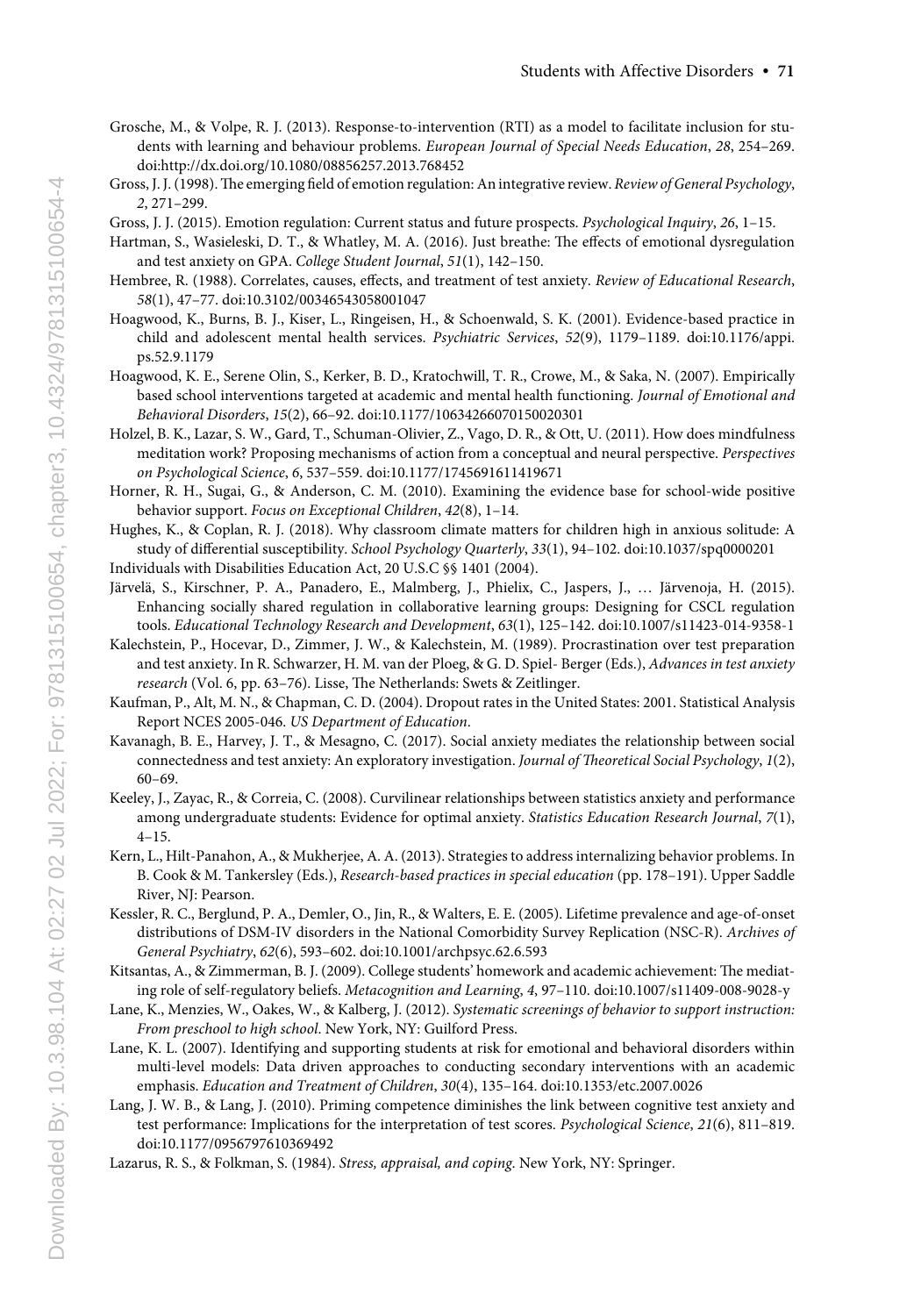- Grosche, M., & Volpe, R. J. (2013). Response-to-intervention (RTI) as a model to facilitate inclusion for students with learning and behaviour problems. *European Journal of Special Needs Education*, *28*, 254–269. doi:http://dx.doi.org/10.1080/08856257.2013.768452
- Gross, J. J. (1998). The emerging field of emotion regulation: An integrative review. *Review of General Psychology*, *2*, 271–299.

Gross, J. J. (2015). Emotion regulation: Current status and future prospects. *Psychological Inquiry*, *26*, 1–15.

- Hartman, S., Wasieleski, D. T., & Whatley, M. A. (2016). Just breathe: The effects of emotional dysregulation and test anxiety on GPA. *College Student Journal*, *51*(1), 142–150.
- Hembree, R. (1988). Correlates, causes, effects, and treatment of test anxiety. *Review of Educational Research*, *58*(1), 47–77. doi:10.3102/00346543058001047
- Hoagwood, K., Burns, B. J., Kiser, L., Ringeisen, H., & Schoenwald, S. K. (2001). Evidence-based practice in child and adolescent mental health services. *Psychiatric Services*, *52*(9), 1179–1189. doi:10.1176/appi. ps.52.9.1179
- Hoagwood, K. E., Serene Olin, S., Kerker, B. D., Kratochwill, T. R., Crowe, M., & Saka, N. (2007). Empirically based school interventions targeted at academic and mental health functioning. *Journal of Emotional and Behavioral Disorders*, *15*(2), 66–92. doi:10.1177/10634266070150020301
- Holzel, B. K., Lazar, S. W., Gard, T., Schuman-Olivier, Z., Vago, D. R., & Ott, U. (2011). How does mindfulness meditation work? Proposing mechanisms of action from a conceptual and neural perspective. *Perspectives on Psychological Science*, *6*, 537–559. doi:10.1177/1745691611419671
- Horner, R. H., Sugai, G., & Anderson, C. M. (2010). Examining the evidence base for school-wide positive behavior support. *Focus on Exceptional Children*, *42*(8), 1–14.
- Hughes, K., & Coplan, R. J. (2018). Why classroom climate matters for children high in anxious solitude: A study of differential susceptibility. *School Psychology Quarterly*, *33*(1), 94–102. doi:10.1037/spq0000201 Individuals with Disabilities Education Act, 20 U.S.C §§ 1401 (2004).
- Järvelä, S., Kirschner, P. A., Panadero, E., Malmberg, J., Phielix, C., Jaspers, J., … Järvenoja, H. (2015). Enhancing socially shared regulation in collaborative learning groups: Designing for CSCL regulation tools. *Educational Technology Research and Development*, *63*(1), 125–142. doi:10.1007/s11423-014-9358-1
- Kalechstein, P., Hocevar, D., Zimmer, J. W., & Kalechstein, M. (1989). Procrastination over test preparation and test anxiety. In R. Schwarzer, H. M. van der Ploeg, & G. D. Spiel- Berger (Eds.), *Advances in test anxiety research* (Vol. 6, pp. 63–76). Lisse, The Netherlands: Swets & Zeitlinger.
- Kaufman, P., Alt, M. N., & Chapman, C. D. (2004). Dropout rates in the United States: 2001. Statistical Analysis Report NCES 2005-046. *US Department of Education*.
- Kavanagh, B. E., Harvey, J. T., & Mesagno, C. (2017). Social anxiety mediates the relationship between social connectedness and test anxiety: An exploratory investigation. *Journal of Theoretical Social Psychology*, *1*(2), 60–69.
- Keeley, J., Zayac, R., & Correia, C. (2008). Curvilinear relationships between statistics anxiety and performance among undergraduate students: Evidence for optimal anxiety. *Statistics Education Research Journal*, *7*(1), 4–15.
- Kern, L., Hilt-Panahon, A., & Mukherjee, A. A. (2013). Strategies to address internalizing behavior problems. In B. Cook & M. Tankersley (Eds.), *Research-based practices in special education* (pp. 178–191). Upper Saddle River, NJ: Pearson.
- Kessler, R. C., Berglund, P. A., Demler, O., Jin, R., & Walters, E. E. (2005). Lifetime prevalence and age-of-onset distributions of DSM-IV disorders in the National Comorbidity Survey Replication (NSC-R). *Archives of General Psychiatry*, *62*(6), 593–602. doi:10.1001/archpsyc.62.6.593
- Kitsantas, A., & Zimmerman, B. J. (2009). College students' homework and academic achievement: The mediating role of self-regulatory beliefs. *Metacognition and Learning*, *4*, 97–110. doi:10.1007/s11409-008-9028-y
- Lane, K., Menzies, W., Oakes, W., & Kalberg, J. (2012). *Systematic screenings of behavior to support instruction: From preschool to high school*. New York, NY: Guilford Press.
- Lane, K. L. (2007). Identifying and supporting students at risk for emotional and behavioral disorders within multi-level models: Data driven approaches to conducting secondary interventions with an academic emphasis. *Education and Treatment of Children*, *30*(4), 135–164. doi:10.1353/etc.2007.0026
- Lang, J. W. B., & Lang, J. (2010). Priming competence diminishes the link between cognitive test anxiety and test performance: Implications for the interpretation of test scores. *Psychological Science*, *21*(6), 811–819. doi:10.1177/0956797610369492
- Lazarus, R. S., & Folkman, S. (1984). *Stress, appraisal, and coping*. New York, NY: Springer.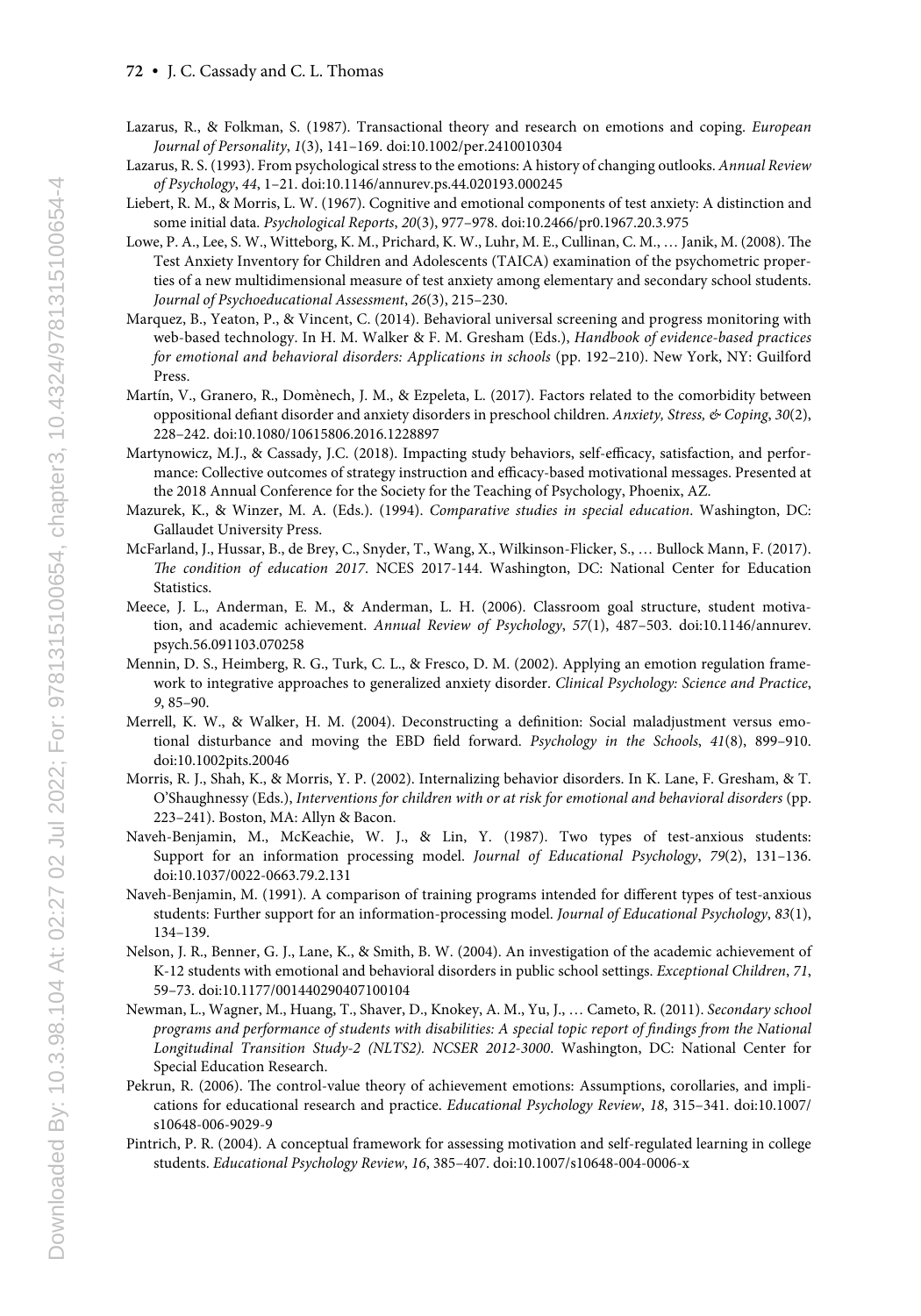- Lazarus, R., & Folkman, S. (1987). Transactional theory and research on emotions and coping. *European Journal of Personality*, *1*(3), 141–169. doi:10.1002/per.2410010304
- Lazarus, R. S. (1993). From psychological stress to the emotions: A history of changing outlooks. *Annual Review of Psychology*, *44*, 1–21. doi:10.1146/annurev.ps.44.020193.000245
- Liebert, R. M., & Morris, L. W. (1967). Cognitive and emotional components of test anxiety: A distinction and some initial data. *Psychological Reports*, *20*(3), 977–978. doi:10.2466/pr0.1967.20.3.975
- Lowe, P. A., Lee, S. W., Witteborg, K. M., Prichard, K. W., Luhr, M. E., Cullinan, C. M., … Janik, M. (2008). The Test Anxiety Inventory for Children and Adolescents (TAICA) examination of the psychometric properties of a new multidimensional measure of test anxiety among elementary and secondary school students. *Journal of Psychoeducational Assessment*, *26*(3), 215–230.
- Marquez, B., Yeaton, P., & Vincent, C. (2014). Behavioral universal screening and progress monitoring with web-based technology. In H. M. Walker & F. M. Gresham (Eds.), *Handbook of evidence-based practices for emotional and behavioral disorders: Applications in schools* (pp. 192–210). New York, NY: Guilford Press.
- Martín, V., Granero, R., Domènech, J. M., & Ezpeleta, L. (2017). Factors related to the comorbidity between oppositional defiant disorder and anxiety disorders in preschool children. *Anxiety, Stress, & Coping*, *30*(2), 228–242. doi:10.1080/10615806.2016.1228897
- Martynowicz, M.J., & Cassady, J.C. (2018). Impacting study behaviors, self-efficacy, satisfaction, and performance: Collective outcomes of strategy instruction and efficacy-based motivational messages. Presented at the 2018 Annual Conference for the Society for the Teaching of Psychology, Phoenix, AZ.
- Mazurek, K., & Winzer, M. A. (Eds.). (1994). *Comparative studies in special education*. Washington, DC: Gallaudet University Press.
- McFarland, J., Hussar, B., de Brey, C., Snyder, T., Wang, X., Wilkinson-Flicker, S., … Bullock Mann, F. (2017). *The condition of education 2017*. NCES 2017-144. Washington, DC: National Center for Education Statistics.
- Meece, J. L., Anderman, E. M., & Anderman, L. H. (2006). Classroom goal structure, student motivation, and academic achievement. *Annual Review of Psychology*, *57*(1), 487–503. doi:10.1146/annurev. psych.56.091103.070258
- Mennin, D. S., Heimberg, R. G., Turk, C. L., & Fresco, D. M. (2002). Applying an emotion regulation framework to integrative approaches to generalized anxiety disorder. *Clinical Psychology: Science and Practice*, *9*, 85–90.
- Merrell, K. W., & Walker, H. M. (2004). Deconstructing a definition: Social maladjustment versus emotional disturbance and moving the EBD field forward. *Psychology in the Schools*, *41*(8), 899–910. doi:10.1002pits.20046
- Morris, R. J., Shah, K., & Morris, Y. P. (2002). Internalizing behavior disorders. In K. Lane, F. Gresham, & T. O'Shaughnessy (Eds.), *Interventions for children with or at risk for emotional and behavioral disorders* (pp. 223–241). Boston, MA: Allyn & Bacon.
- Naveh-Benjamin, M., McKeachie, W. J., & Lin, Y. (1987). Two types of test-anxious students: Support for an information processing model. *Journal of Educational Psychology*, *79*(2), 131–136. doi:10.1037/0022-0663.79.2.131
- Naveh-Benjamin, M. (1991). A comparison of training programs intended for different types of test-anxious students: Further support for an information-processing model. *Journal of Educational Psychology*, *83*(1), 134–139.
- Nelson, J. R., Benner, G. J., Lane, K., & Smith, B. W. (2004). An investigation of the academic achievement of K-12 students with emotional and behavioral disorders in public school settings. *Exceptional Children*, *71*, 59–73. doi:10.1177/001440290407100104
- Newman, L., Wagner, M., Huang, T., Shaver, D., Knokey, A. M., Yu, J., … Cameto, R. (2011). *Secondary school programs and performance of students with disabilities: A special topic report of findings from the National Longitudinal Transition Study-2 (NLTS2). NCSER 2012-3000*. Washington, DC: National Center for Special Education Research.
- Pekrun, R. (2006). The control-value theory of achievement emotions: Assumptions, corollaries, and implications for educational research and practice. *Educational Psychology Review*, *18*, 315–341. doi:10.1007/ s10648-006-9029-9
- Pintrich, P. R. (2004). A conceptual framework for assessing motivation and self-regulated learning in college students. *Educational Psychology Review*, *16*, 385–407. doi:10.1007/s10648-004-0006-x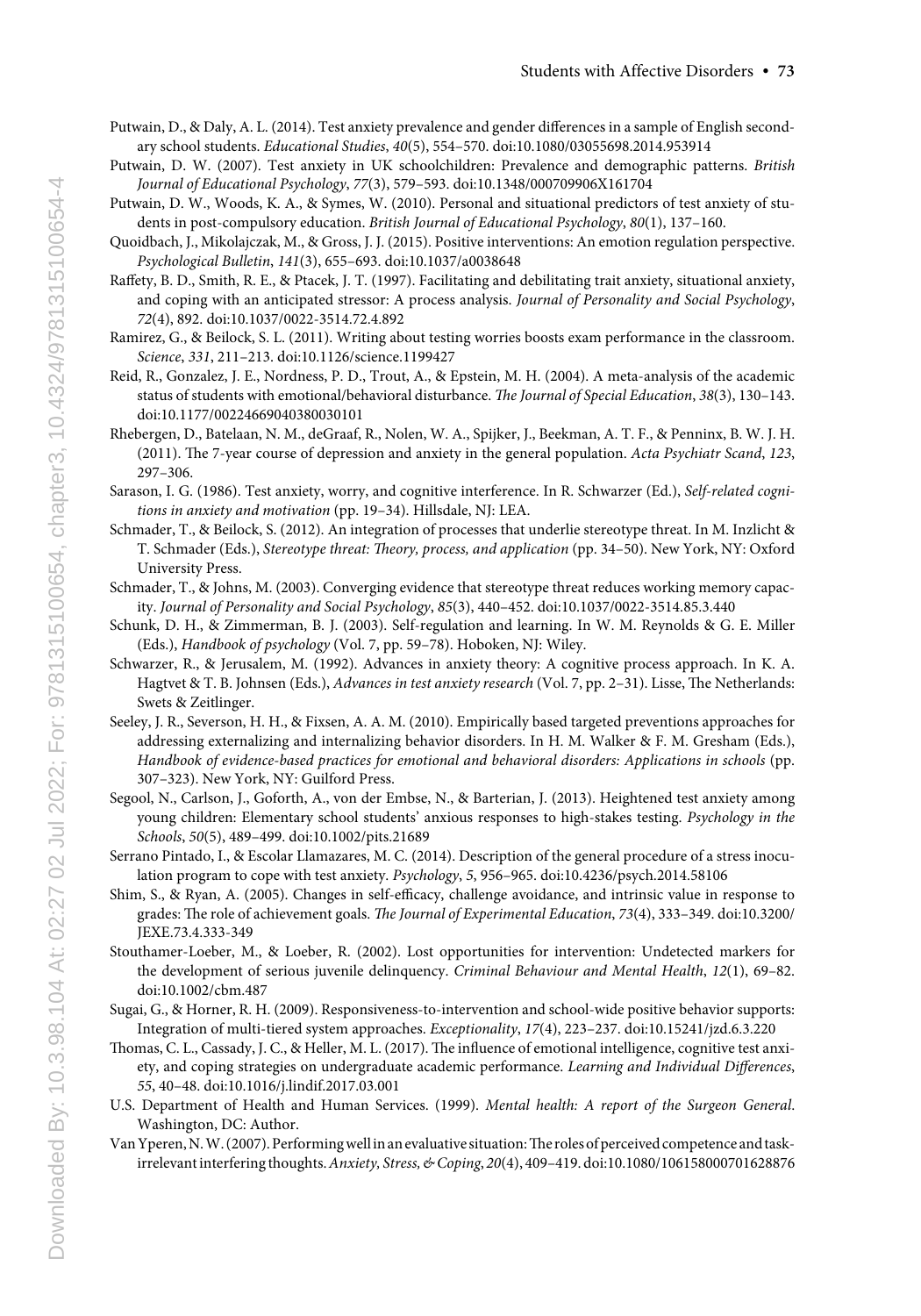- Putwain, D., & Daly, A. L. (2014). Test anxiety prevalence and gender differences in a sample of English secondary school students. *Educational Studies*, *40*(5), 554–570. doi:10.1080/03055698.2014.953914
- Putwain, D. W. (2007). Test anxiety in UK schoolchildren: Prevalence and demographic patterns. *British Journal of Educational Psychology*, *77*(3), 579–593. doi:10.1348/000709906X161704
- Putwain, D. W., Woods, K. A., & Symes, W. (2010). Personal and situational predictors of test anxiety of students in post‐compulsory education. *British Journal of Educational Psychology*, *80*(1), 137–160.
- Quoidbach, J., Mikolajczak, M., & Gross, J. J. (2015). Positive interventions: An emotion regulation perspective. *Psychological Bulletin*, *141*(3), 655–693. doi:10.1037/a0038648
- Raffety, B. D., Smith, R. E., & Ptacek, J. T. (1997). Facilitating and debilitating trait anxiety, situational anxiety, and coping with an anticipated stressor: A process analysis. *Journal of Personality and Social Psychology*, *72*(4), 892. doi:10.1037/0022-3514.72.4.892
- Ramirez, G., & Beilock, S. L. (2011). Writing about testing worries boosts exam performance in the classroom. *Science*, *331*, 211–213. doi:10.1126/science.1199427
- Reid, R., Gonzalez, J. E., Nordness, P. D., Trout, A., & Epstein, M. H. (2004). A meta-analysis of the academic status of students with emotional/behavioral disturbance. *The Journal of Special Education*, *38*(3), 130–143. doi:10.1177/00224669040380030101
- Rhebergen, D., Batelaan, N. M., deGraaf, R., Nolen, W. A., Spijker, J., Beekman, A. T. F., & Penninx, B. W. J. H. (2011). The 7-year course of depression and anxiety in the general population. *Acta Psychiatr Scand*, *123*, 297–306.
- Sarason, I. G. (1986). Test anxiety, worry, and cognitive interference. In R. Schwarzer (Ed.), *Self-related cognitions in anxiety and motivation* (pp. 19–34). Hillsdale, NJ: LEA.
- Schmader, T., & Beilock, S. (2012). An integration of processes that underlie stereotype threat. In M. Inzlicht & T. Schmader (Eds.), *Stereotype threat: Theory, process, and application* (pp. 34–50). New York, NY: Oxford University Press.
- Schmader, T., & Johns, M. (2003). Converging evidence that stereotype threat reduces working memory capacity. *Journal of Personality and Social Psychology*, *85*(3), 440–452. doi:10.1037/0022-3514.85.3.440
- Schunk, D. H., & Zimmerman, B. J. (2003). Self-regulation and learning. In W. M. Reynolds & G. E. Miller (Eds.), *Handbook of psychology* (Vol. 7, pp. 59–78). Hoboken, NJ: Wiley.
- Schwarzer, R., & Jerusalem, M. (1992). Advances in anxiety theory: A cognitive process approach. In K. A. Hagtvet & T. B. Johnsen (Eds.), *Advances in test anxiety research* (Vol. 7, pp. 2–31). Lisse, The Netherlands: Swets & Zeitlinger.
- Seeley, J. R., Severson, H. H., & Fixsen, A. A. M. (2010). Empirically based targeted preventions approaches for addressing externalizing and internalizing behavior disorders. In H. M. Walker & F. M. Gresham (Eds.), *Handbook of evidence-based practices for emotional and behavioral disorders: Applications in schools* (pp. 307–323). New York, NY: Guilford Press.
- Segool, N., Carlson, J., Goforth, A., von der Embse, N., & Barterian, J. (2013). Heightened test anxiety among young children: Elementary school students' anxious responses to high-stakes testing. *Psychology in the Schools*, *50*(5), 489–499. doi:10.1002/pits.21689
- Serrano Pintado, I., & Escolar Llamazares, M. C. (2014). Description of the general procedure of a stress inoculation program to cope with test anxiety. *Psychology*, *5*, 956–965. doi:10.4236/psych.2014.58106
- Shim, S., & Ryan, A. (2005). Changes in self-efficacy, challenge avoidance, and intrinsic value in response to grades: The role of achievement goals. *The Journal of Experimental Education*, *73*(4), 333–349. doi:10.3200/ JEXE.73.4.333-349
- Stouthamer-Loeber, M., & Loeber, R. (2002). Lost opportunities for intervention: Undetected markers for the development of serious juvenile delinquency. *Criminal Behaviour and Mental Health*, *12*(1), 69–82. doi:10.1002/cbm.487
- Sugai, G., & Horner, R. H. (2009). Responsiveness-to-intervention and school-wide positive behavior supports: Integration of multi-tiered system approaches. *Exceptionality*, *17*(4), 223–237. doi:10.15241/jzd.6.3.220
- Thomas, C. L., Cassady, J. C., & Heller, M. L. (2017). The influence of emotional intelligence, cognitive test anxiety, and coping strategies on undergraduate academic performance. *Learning and Individual Differences*, *55*, 40–48. doi:10.1016/j.lindif.2017.03.001
- U.S. Department of Health and Human Services. (1999). *Mental health: A report of the Surgeon General*. Washington, DC: Author.
- Van Yperen, N. W. (2007). Performing well in an evaluative situation: The roles of perceived competence and taskirrelevant interfering thoughts. *Anxiety, Stress, & Coping*, *20*(4), 409–419. doi:10.1080/106158000701628876